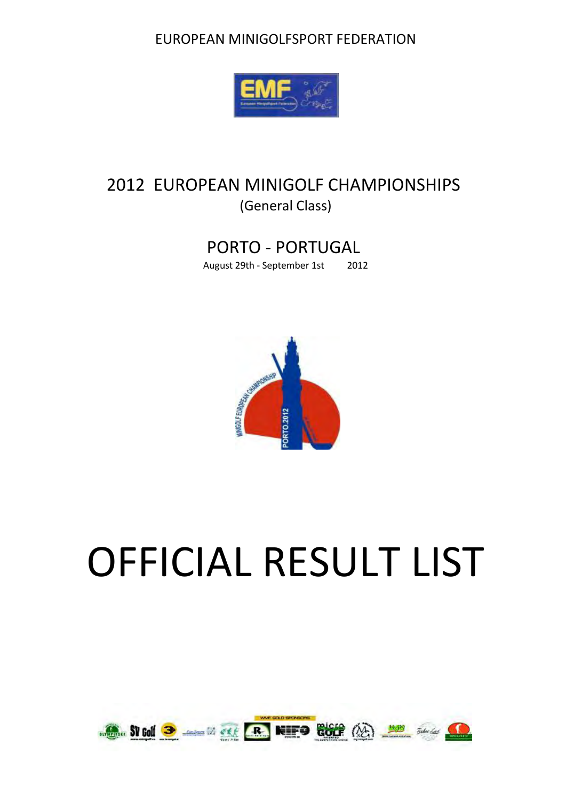#### EUROPEAN MINIGOLFSPORT FEDERATION



### 2012 EUROPEAN MINIGOLF CHAMPIONSHIPS (General Class)

### PORTO - PORTUGAL

August 29th - September 1st 2012



# OFFICIAL RESULT LIST

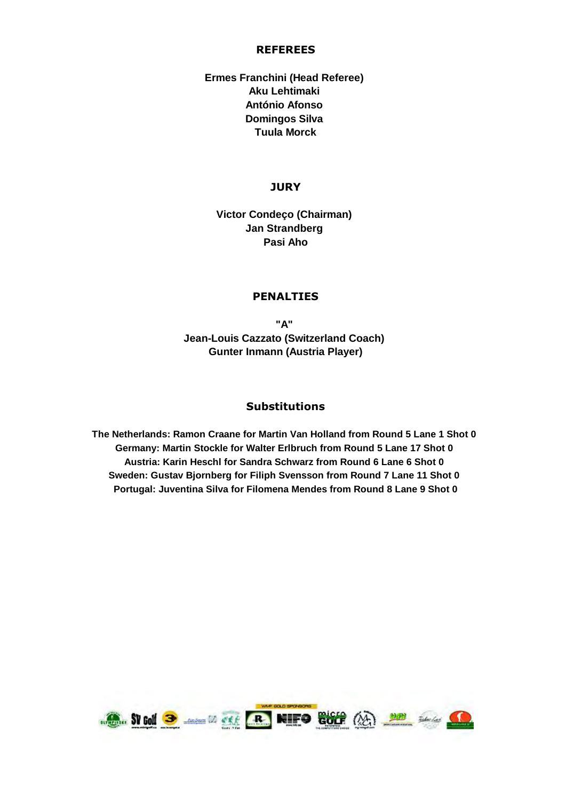#### **REFEREES**

#### **Ermes Franchini (Head Referee) Aku Lehtimaki António Afonso Domingos Silva Tuula Morck**

#### **JURY**

**Victor Condeço (Chairman) Jan Strandberg Pasi Aho**

#### **PENALTIES**

**Jean-Louis Cazzato (Switzerland Coach) Gunter Inmann (Austria Player) "A"** 

#### **Substitutions**

**Sweden: Gustav Bjornberg for Filiph Svensson from Round 7 Lane 11 Shot 0 Portugal: Juventina Silva for Filomena Mendes from Round 8 Lane 9 Shot 0 The Netherlands: Ramon Craane for Martin Van Holland from Round 5 Lane 1 Shot 0 Germany: Martin Stockle for Walter Erlbruch from Round 5 Lane 17 Shot 0 Austria: Karin Heschl for Sandra Schwarz from Round 6 Lane 6 Shot 0** 

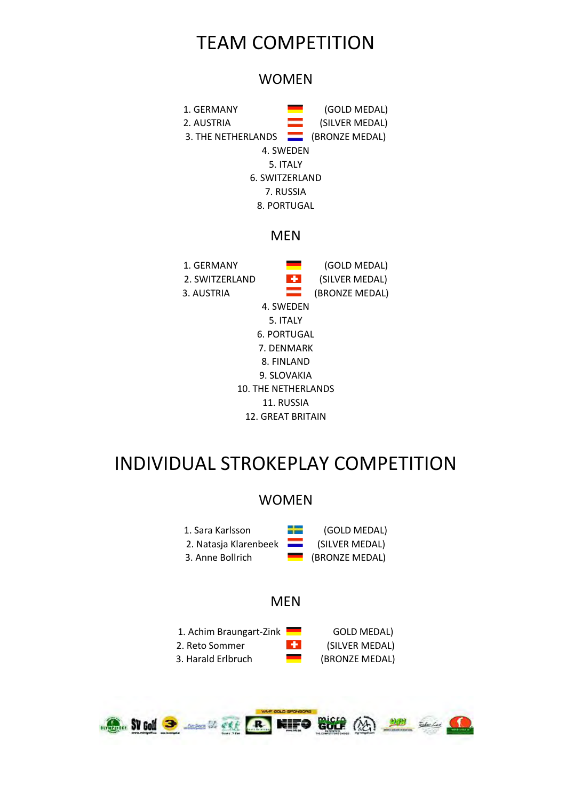## TEAM COMPETITION

#### **WOMEN**



#### **MFN**

| 1. GFRMANY     |                     | (GOLD MEDAL)   |
|----------------|---------------------|----------------|
| 2. SWITZFRLAND | ÷                   | (SILVER MEDAL) |
| 3. AUSTRIA     | --                  | (BRONZE MEDAL) |
|                | 4. SWFDFN           |                |
|                | 5. ITALY            |                |
|                | 6. PORTUGAL         |                |
|                | 7. DFNMARK          |                |
|                | 8. FINLAND          |                |
|                | 9. SLOVAKIA         |                |
|                | 10. THE NETHERLANDS |                |
|                | 11. RUSSIA          |                |
|                | 12. GRFAT BRITAIN   |                |

## INDIVIDUAL STROKEPLAY COMPETITION

#### WOMEN

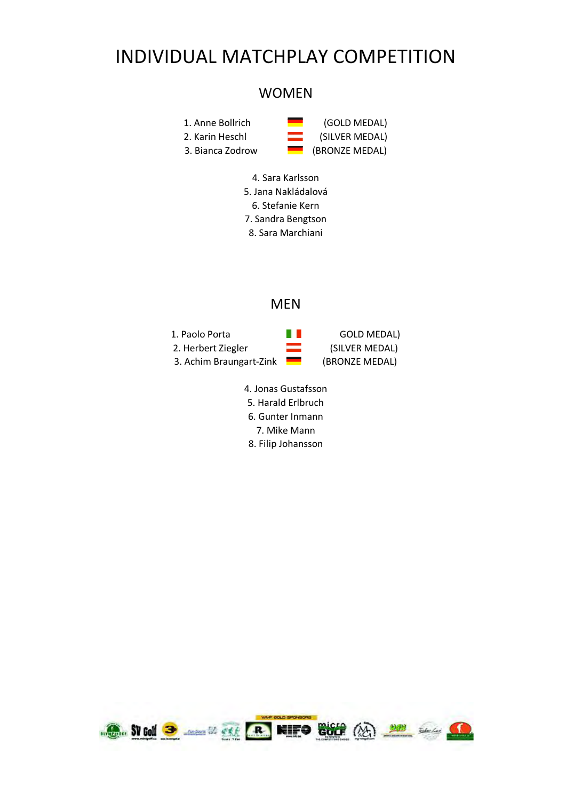## INDIVIDUAL MATCHPLAY COMPETITION

#### WOMEN



- 4. Sara Karlsson
- 5. Jana Nakládalová
- 6. Stefanie Kern
- 7. Sandra Bengtson
- 8. Sara Marchiani

#### MEN

- 1. Paolo Porta **GOLD MEDAL** 2. Herbert Ziegler (SILVER MEDAL) 3. Achim Braungart-Zink (BRONZE MEDAL)
	- 4. Jonas Gustafsson
	- 5. Harald Erlbruch
	- 6. Gunter Inmann
	- 7. Mike Mann
	- 8. Filip Johansson

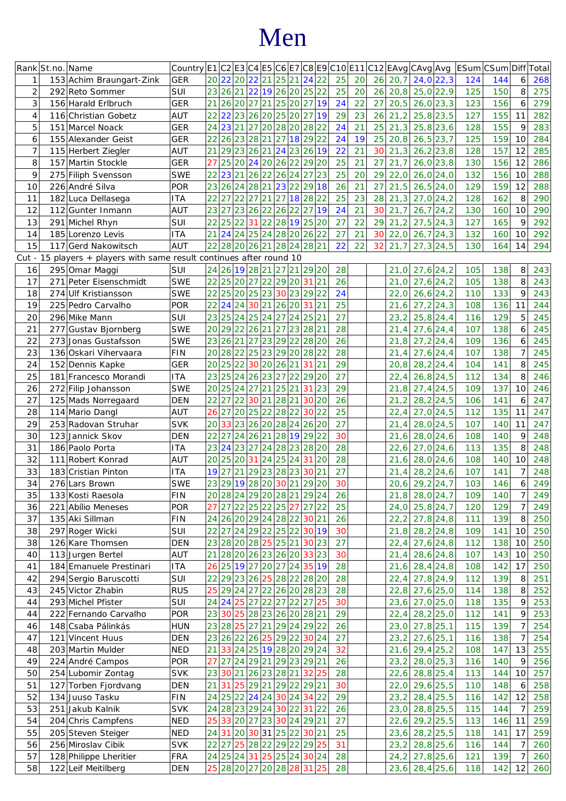# Men

|                | Rank St.no. Name |                                                                | Country E1 C2 E3 C4 E5 C6 E7 C8 E9 C10 E11 C12 EAvg CAvg Avg  ESum CSum Diff Total |    |    |                            |          |    |              |    |          |       |    |    |    |      |                  |             |     |     |    |     |
|----------------|------------------|----------------------------------------------------------------|------------------------------------------------------------------------------------|----|----|----------------------------|----------|----|--------------|----|----------|-------|----|----|----|------|------------------|-------------|-----|-----|----|-----|
|                |                  | 153 Achim Braungart-Zink                                       | <b>GER</b>                                                                         | 20 |    | 22 20 22 21                |          |    | 25 21 24 22  |    |          |       | 25 | 20 | 26 | 20,7 | $24,0$ 22,3      |             | 124 | 144 | 6  | 268 |
| $\overline{2}$ |                  | 292 Reto Sommer                                                | SUI                                                                                | 23 |    | 26 21 22 19 26 20 25 22    |          |    |              |    |          |       | 25 | 20 | 26 | 20,8 |                  | 25,0 22,9   | 125 | 150 | 8  | 275 |
| 3              |                  | 156 Harald Erlbruch                                            | <b>GER</b>                                                                         | 21 |    | 26 20 27 21 25 20 27 19    |          |    |              |    |          |       | 24 | 22 | 27 | 20,5 |                  | $26,0$ 23,3 | 123 | 156 | 6  | 279 |
| 4              |                  | 116 Christian Gobetz                                           | AUT                                                                                | 22 |    | 22 23 26 20 25 20 27 19    |          |    |              |    |          |       | 29 | 23 | 26 | 21,2 |                  | $25,8$ 23,5 | 127 | 155 | 11 | 282 |
| 5              |                  | 151 Marcel Noack                                               | <b>GER</b>                                                                         | 24 |    | 23 21                      |          |    | 272028202822 |    |          |       | 24 | 21 | 25 | 21,3 |                  | $25,8$ 23,6 | 128 | 155 | 9  | 283 |
| 6              |                  | 155 Alexander Geist                                            | <b>GER</b>                                                                         | 22 |    | 26 23 28 21                |          |    | 27           | 18 | 29 22    |       | 24 | 19 | 25 | 20,8 | $26,5$ 23,7      |             | 125 | 159 | 10 | 284 |
| 7              |                  | 115 Herbert Ziegler                                            | AUT                                                                                | 21 |    | 29 23 26 21                |          |    | 24 23 26 19  |    |          |       | 22 | 21 | 30 | 21,3 |                  | $26,2$ 23,8 | 128 | 157 | 12 | 285 |
| 8              |                  | 157 Martin Stockle                                             | <b>GER</b>                                                                         | 27 |    | 25 20 24 20 26 22 29 20    |          |    |              |    |          |       | 25 | 21 | 27 | 21,7 |                  | $26,0$ 23,8 | 130 | 156 | 12 | 286 |
| 9              |                  | 275 Filiph Svensson                                            | <b>SWE</b>                                                                         | 22 |    | 23 21 26 22 26 24 27 23    |          |    |              |    |          |       | 25 | 20 | 29 | 22,0 |                  | $26,0$ 24,0 | 132 | 156 | 10 | 288 |
| 10             |                  | 226 André Silva                                                | POR                                                                                |    |    | 23 26 24 28 21 23 22 29 18 |          |    |              |    |          |       | 26 | 21 | 27 | 21,5 |                  | $26,5$ 24,0 | 129 | 159 | 12 | 288 |
| 11             |                  | 182 Luca Dellasega                                             | <b>ITA</b>                                                                         | 22 |    | 27 22 27 21                |          |    | 27 18 28 22  |    |          |       | 25 | 23 | 28 | 21,3 | $27,0$ 24,2      |             | 128 | 162 | 8  | 290 |
| 12             |                  | 112 Gunter Inmann                                              | <b>AUT</b>                                                                         | 23 |    | 27 23 26 22 26 22 27 19    |          |    |              |    |          |       | 24 | 21 | 30 | 21,7 |                  | $26,7$ 24,2 | 130 | 160 | 10 | 290 |
|                |                  |                                                                |                                                                                    | 22 |    |                            |          |    |              |    |          |       | 27 | 22 | 29 |      |                  |             |     |     |    |     |
| 13             |                  | 291 Michel Rhyn                                                | SUI                                                                                |    |    | 25 22 31 22 28 19 25 20    |          |    |              |    |          |       |    |    |    | 21,2 | $27,5$ 24,3      |             | 127 | 165 | 9  | 292 |
| 14             |                  | 185 Lorenzo Levis                                              | <b>ITA</b>                                                                         | 21 |    | 24 24 25 24 28 20 26 22    |          |    |              |    |          |       | 27 | 21 | 30 | 22,0 | $26,7$ 24,3      |             | 132 | 160 | 10 | 292 |
| 15             |                  | 117 Gerd Nakowitsch                                            | <b>AUT</b>                                                                         | 22 |    | 28 20 26 21 28 24 28 21    |          |    |              |    |          |       | 22 | 22 | 32 | 21,7 |                  | 27,3 24,5   | 130 | 164 | 14 | 294 |
| Cut -          |                  | 15 players + players with same result continues after round 10 |                                                                                    |    |    |                            |          |    |              |    |          |       |    |    |    |      |                  |             |     |     |    |     |
| 16             |                  | 295 Omar Maggi                                                 | SUI                                                                                |    |    | 24 26 19 28 21             |          |    | 27           |    | 21 29 20 |       | 28 |    |    | 21,0 |                  | $27,6$ 24,2 | 105 | 138 | 8  | 243 |
| 17             |                  | 271 Peter Eisenschmidt                                         | <b>SWE</b>                                                                         | 22 |    | 25 20                      | 27       | 22 | 29           | 20 | 31 21    |       | 26 |    |    | 21,0 |                  | $27,6$ 24,2 | 105 | 138 | 8  | 243 |
| 18             |                  | 274 Ulf Kristiansson                                           | <b>SWE</b>                                                                         | 22 |    | 25 20 25 23 30 23 29 22    |          |    |              |    |          |       | 24 |    |    | 22,0 |                  | $26,6$ 24,2 | 110 | 133 | 9  | 243 |
| 19             |                  | 225 Pedro Carvalho                                             | <b>POR</b>                                                                         | 22 |    | 24 24 30 21                |          |    | 26 20        |    | 31 21    |       | 25 |    |    | 21,6 |                  | $27,2$ 24,3 | 108 | 136 | 11 | 244 |
| 20             |                  | 296 Mike Mann                                                  | SUI                                                                                | 23 |    | 25 24 25 24 27 24 25 21    |          |    |              |    |          |       | 27 |    |    | 23,2 |                  | $25,8$ 24,4 | 116 | 129 | 5  | 245 |
| 21             |                  | 277 Gustav Bjornberg                                           | <b>SWE</b>                                                                         | 20 |    | 29 22 26 21 27 23 28 21    |          |    |              |    |          |       | 28 |    |    | 21,4 |                  | $27,6$ 24,4 | 107 | 138 | 6  | 245 |
| 22             |                  | 273 Jonas Gustafsson                                           | <b>SWE</b>                                                                         | 23 |    | 26 21 27 23 29 22 28 20    |          |    |              |    |          |       | 26 |    |    | 21,8 | $27,2$ 24,4      |             | 109 | 136 | 6  | 245 |
| 23             |                  | 136 Oskari Vihervaara                                          | <b>FIN</b>                                                                         | 20 |    | 28 22 25 23 29 20 28 22    |          |    |              |    |          |       | 28 |    |    | 21,4 | $27,6$ 24,4      |             | 107 | 138 | 7  | 245 |
| 24             |                  | 152 Dennis Kapke                                               | <b>GER</b>                                                                         | 20 |    | 25 22 30 20 26 21          |          |    |              |    | 31 21    |       | 29 |    |    | 20,8 | $28,2$ 24,4      |             | 104 | 141 | 8  | 245 |
| 25             |                  | 181 Francesco Morandi                                          | <b>ITA</b>                                                                         | 23 |    | 25 24 26 23 27 22 29 20    |          |    |              |    |          |       | 27 |    |    | 22,4 |                  | $26,8$ 24,5 | 112 | 134 | 8  | 246 |
| 26             |                  | 272 Filip Johansson                                            | <b>SWE</b>                                                                         | 20 |    | 25 24 27 21                |          |    | 25 21        |    |          | 31 23 | 29 |    |    | 21,8 | $27,4$ 24,5      |             | 109 | 137 | 10 | 246 |
| 27             |                  | 125 Mads Norregaard                                            | <b>DEN</b>                                                                         | 22 |    | 27 22 30 21                |          |    | 28 21        |    | 30 20    |       | 26 |    |    | 21,2 |                  | $28,2$ 24,5 | 106 | 141 | 6  | 247 |
| 28             |                  | 114 Mario Dangl                                                | <b>AUT</b>                                                                         | 26 | 27 |                            | 20 25 22 |    | 28 22 30 22  |    |          |       | 25 |    |    | 22,4 |                  | $27,0$ 24,5 | 112 | 135 | 11 | 247 |
| 29             |                  | 253 Radovan Struhar                                            | <b>SVK</b>                                                                         | 20 |    | 33 23 26 20 28 24 26 20    |          |    |              |    |          |       | 27 |    |    | 21,4 |                  | $28,0$ 24,5 | 107 | 140 | 11 | 247 |
| 30             |                  | 123 Jannick Skov                                               | <b>DEN</b>                                                                         | 22 |    | 27 24                      | 26 21    |    | 28 19 29 22  |    |          |       | 30 |    |    | 21,6 |                  | 28,0 24,6   | 108 | 140 | 9  | 248 |
|                |                  |                                                                |                                                                                    | 23 |    | 24 23 27 24 28 23 28 20    |          |    |              |    |          |       | 28 |    |    | 22,6 |                  | $27,0$ 24,6 | 113 | 135 |    | 248 |
| 31             |                  | 186 Paolo Porta                                                | <b>ITA</b>                                                                         |    |    |                            |          |    |              |    |          |       |    |    |    |      |                  |             |     |     | 8  |     |
| 32             |                  | 111 Robert Konrad                                              | <b>AUT</b>                                                                         | 20 |    | 25 20 31 24 25 24          |          |    |              |    | 31 20    |       | 28 |    |    | 21,6 |                  | $28,0$ 24,6 | 108 | 140 | 10 | 248 |
| 33             |                  | 183 Cristian Pinton                                            | <b>ITA</b>                                                                         | 19 |    | 27 21 29 23 28 23 30 21    |          |    |              |    |          |       | 27 |    |    | 21,4 |                  | 28,2 24,6   | 107 | 141 |    | 248 |
| 34             |                  | 276 Lars Brown                                                 | <b>SWE</b>                                                                         | 23 |    | 29 19 28 20 30 21 29 20    |          |    |              |    |          |       | 30 |    |    |      | 20,6 29,2 24,7   |             | 103 | 146 | 6  | 249 |
| 35             |                  | 133 Kosti Raesola                                              | <b>FIN</b>                                                                         |    |    | 20 28 24 29 20 28 21 29 24 |          |    |              |    |          |       | 26 |    |    |      | 21,8 28,0 24,7   |             | 109 | 140 | 7  | 249 |
| 36             |                  | 221 Abilio Meneses                                             | POR                                                                                |    |    | 27 27 22 25 22 25 27 27 22 |          |    |              |    |          |       | 25 |    |    |      | 24,0 25,8 24,7   |             | 120 | 129 |    | 249 |
| 37             |                  | 135 Aki Sillman                                                | <b>FIN</b>                                                                         |    |    | 24 26 20 29 24 28 22 30 21 |          |    |              |    |          |       | 26 |    |    |      | 22,2 27,8 24,8   |             | 111 | 139 | 8  | 250 |
| 38             |                  | 297 Roger Wicki                                                | SUI                                                                                |    |    | 22 27 24 29 22 25 22 30 19 |          |    |              |    |          |       | 30 |    |    |      | 21,8 28,2 24,8   |             | 109 | 141 | 10 | 250 |
| 38             |                  | 126 Kare Thomsen                                               | <b>DEN</b>                                                                         |    |    | 23 28 20 28 25 25 21 30 23 |          |    |              |    |          |       | 27 |    |    | 22,4 | $27,6$ 24,8      |             | 112 | 138 | 10 | 250 |
| 40             |                  | 113 Jurgen Bertel                                              | <b>AUT</b>                                                                         | 21 |    | 28 20 26 23 26 20 33 23    |          |    |              |    |          |       | 30 |    |    | 21,4 | $28,6$ 24,8      |             | 107 | 143 | 10 | 250 |
| 41             |                  | 184 Emanuele Prestinari                                        | <b>ITA</b>                                                                         | 26 |    | 25 19 27 20 27 24 35 19    |          |    |              |    |          |       | 28 |    |    | 21,6 | 28,4 24,8        |             | 108 | 142 | 17 | 250 |
| 42             |                  | 294 Sergio Baruscotti                                          | SUI                                                                                |    |    | 22 29 23 26 25 28 22 28 20 |          |    |              |    |          |       | 28 |    |    | 22,4 | $27,8$ 24,9      |             | 112 | 139 | 8  | 251 |
| 43             |                  | 245 Victor Zhabin                                              | <b>RUS</b>                                                                         | 25 |    | 29 24 27 22 26 20 28 23    |          |    |              |    |          |       | 28 |    |    | 22,8 | $27,6$ 25,0      |             | 114 | 138 | 8  | 252 |
| 44             |                  | 293 Michel Pfister                                             | SUI                                                                                | 24 |    | 24 25 27 22 27 22 27 25    |          |    |              |    |          |       | 30 |    |    | 23,6 | $27,0$ 25,0      |             | 118 | 135 | 9  | 253 |
| 44             |                  | 222 Fernando Carvalho                                          | POR                                                                                | 23 |    | 30 25 28 23 26 20 28 21    |          |    |              |    |          |       | 29 |    |    | 22,4 | $28,2$ 25,0      |             | 112 | 141 | 9  | 253 |
| 46             |                  | 148 Csaba Pálinkás                                             | <b>HUN</b>                                                                         |    |    | 23 28 25 27 21 29 24 29 22 |          |    |              |    |          |       | 26 |    |    |      | $23,0$ 27,8 25,1 |             | 115 | 139 | 7  | 254 |
| 47             |                  | 121 Vincent Huus                                               | <b>DEN</b>                                                                         |    |    | 23 26 22 26 25 29 22 30 24 |          |    |              |    |          |       | 27 |    |    | 23,2 | $27,6$ 25,1      |             | 116 | 138 | 7  | 254 |
| 48             |                  | 203 Martin Mulder                                              | <b>NED</b>                                                                         | 21 |    | 33 24 25 19 28 20 29 24    |          |    |              |    |          |       | 32 |    |    | 21,6 | $29,4$ 25,2      |             | 108 | 147 | 13 | 255 |
| 49             |                  | 224 André Campos                                               | POR                                                                                | 27 |    | 27 24 29 21 29 23 29 21    |          |    |              |    |          |       | 26 |    |    | 23,2 | $28,0$ 25,3      |             | 116 | 140 | 9  | 256 |
| 50             |                  | 254 Lubomir Zontag                                             | <b>SVK</b>                                                                         | 23 |    | 30 21 26 23 28 21 32 25    |          |    |              |    |          |       | 28 |    |    | 22,6 | $28,8$ 25,4      |             | 113 | 144 | 10 | 257 |
| 51             |                  | 127 Torben Fjordvang                                           | DEN                                                                                | 21 |    | 31 25 29 21 29 22 29 21    |          |    |              |    |          |       | 30 |    |    | 22,0 | $29,6$ 25,5      |             | 110 | 148 | 6  | 258 |
| 52             |                  | 134 Juuso Tasku                                                | <b>FIN</b>                                                                         |    |    | 24 25 22 24 24 30 24 34 22 |          |    |              |    |          |       | 29 |    |    | 23,2 | $28,4$ 25,5      |             | 116 | 142 | 12 | 258 |
| 53             |                  | 251 Jakub Kalnik                                               | <b>SVK</b>                                                                         |    |    | 24 28 23 29 24 30 22 31 22 |          |    |              |    |          |       | 26 |    |    |      | 23,0 28,8 25,5   |             | 115 | 144 |    | 259 |
| 54             |                  | 204 Chris Campfens                                             | <b>NED</b>                                                                         | 25 |    | 33 20 27 23 30 24 29 21    |          |    |              |    |          |       | 27 |    |    | 22,6 |                  |             | 113 | 146 | 11 | 259 |
|                |                  |                                                                |                                                                                    | 24 |    |                            |          |    |              |    |          |       |    |    |    |      | $29,2$ 25,5      |             |     |     |    |     |
| 55             |                  | 205 Steven Steiger                                             | <b>NED</b>                                                                         |    |    | 31 20 30 31 25 22 30 21    |          |    |              |    |          |       | 25 |    |    | 23,6 |                  | $28,2$ 25,5 | 118 | 141 | 17 | 259 |
| 56             |                  | 256 Miroslav Cibik                                             | <b>SVK</b>                                                                         | 22 |    | 27 25 28 22 29 22 29 25    |          |    |              |    |          |       | 31 |    |    | 23,2 |                  | $28,8$ 25,6 | 116 | 144 |    | 260 |
| 57             |                  | 128 Philippe Lheritier                                         | <b>FRA</b>                                                                         |    |    | 24 25 24 31 25 25 24 30 24 |          |    |              |    |          |       | 28 |    |    |      | 24,2 27,8 25,6   |             | 121 | 139 |    | 260 |
| 58             |                  | 122 Leif Meitilberg                                            | <b>DEN</b>                                                                         |    |    | 25 28 20 27 20 28 28 31 25 |          |    |              |    |          |       | 28 |    |    |      | $23,6$ 28,4 25,6 |             | 118 | 142 | 12 | 260 |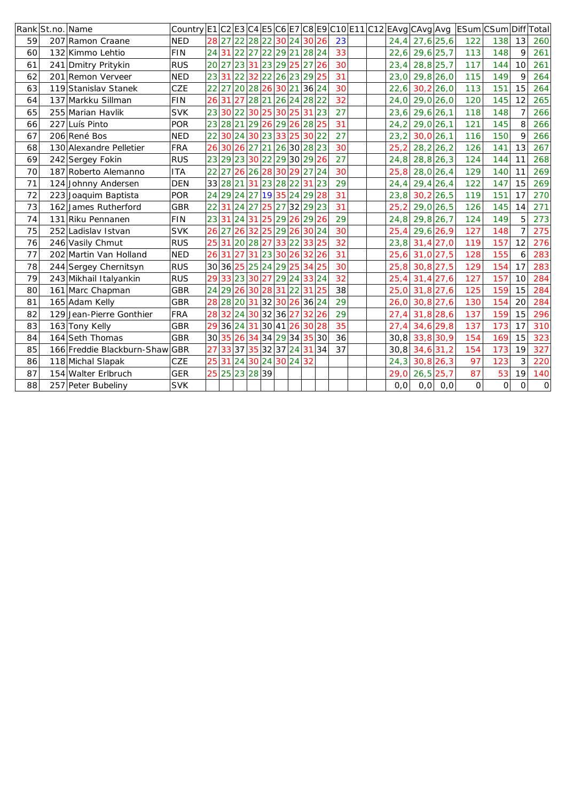|    | Rank St.no. Name |                                | Country E1 C2 E3 C4 E5 C6 E7 C8 E9 C10 E11 C12 EAvg CAvg Avg  ESum CSum Diff |    |    |                            |    |                 |                |       |    |  |      |                  |             |             |             |          | Total          |
|----|------------------|--------------------------------|------------------------------------------------------------------------------|----|----|----------------------------|----|-----------------|----------------|-------|----|--|------|------------------|-------------|-------------|-------------|----------|----------------|
| 59 |                  | 207 Ramon Craane               | <b>NED</b>                                                                   |    |    | 28 27 22 28 22 30 24 30 26 |    |                 |                |       | 23 |  | 24,4 | 27,6 25,6        |             | 122         | 138         | 13       | 260            |
| 60 |                  | 132 Kimmo Lehtio               | FIN                                                                          | 24 |    | 31 22 27 22 29 21 28 24    |    |                 |                |       | 33 |  | 22,6 | $29,6$ 25,7      |             | 113         | 148         | 9        | 261            |
| 61 |                  | 241 Dmitry Pritykin            | <b>RUS</b>                                                                   | 20 |    | 27 23 31 23 29 25 27 26    |    |                 |                |       | 30 |  | 23,4 | $28,8$ 25,7      |             | 117         | 144         | 10       | 261            |
| 62 |                  | 201 Remon Verveer              | <b>NED</b>                                                                   | 23 |    | 31 22 32                   | 22 |                 | 26 23 29 25    |       | 31 |  | 23.0 | 29,8 26,0        |             | 115         | 149         | 9        | 264            |
| 63 |                  | 119 Stanislav Stanek           | <b>CZE</b>                                                                   | 22 |    | 27 20 28 26 30 21 36 24    |    |                 |                |       | 30 |  | 22,6 | 30,2 26,0        |             | 113         | 151         | 15       | 264            |
| 64 |                  | 137 Markku Sillman             | FIN                                                                          | 26 |    | 31 27 28 21 26 24 28 22    |    |                 |                |       | 32 |  | 24,0 | 29,0 26,0        |             | 120         | 145         | 12       | 265            |
| 65 |                  | 255 Marian Havlik              | <b>SVK</b>                                                                   | 23 |    | 30 22 30 25 30 25 31 23    |    |                 |                |       | 27 |  | 23,6 | $29,6$ 26,1      |             | 118         | 148         |          | 266            |
| 66 |                  | 227 Luís Pinto                 | <b>POR</b>                                                                   | 23 |    | 28 21 29 26 29 26 28 25    |    |                 |                |       | 31 |  | 24,2 | $29,0$ 26,1      |             | 121         | 145         | 8        | 266            |
| 67 |                  | 206 René Bos                   | <b>NED</b>                                                                   | 22 |    | 30 24 30 23 33 25          |    |                 | 30 22          |       | 27 |  | 23,2 | $30,0$ 26,1      |             | 116         | 150         | 9        | 266            |
| 68 |                  | 130 Alexandre Pelletier        | FRA                                                                          | 26 |    | 30 26 27 21 26 30 28 23    |    |                 |                |       | 30 |  | 25.2 |                  | $28,2$ 26,2 | 126         | 141         | 13       | 267            |
| 69 |                  | 242 Sergey Fokin               | <b>RUS</b>                                                                   | 23 |    | 29 23 30 22 29 30 29 26    |    |                 |                |       | 27 |  | 24,8 | $28,8$ 26,3      |             | 124         | 144         | 11       | 268            |
| 70 |                  | 187 Roberto Alemanno           | <b>ITA</b>                                                                   | 22 |    | 27 26 26 28 30 29 27 24    |    |                 |                |       | 30 |  | 25,8 | 28,0 26,4        |             | 129         | 140         | 11       | 269            |
| 71 |                  | 124 Johnny Andersen            | <b>DEN</b>                                                                   | 33 |    | 28 21 31 23 28 22 31       |    |                 |                | 23    | 29 |  | 24,4 | $29,4$ 26,4      |             | 122         | 147         | 15       | 269            |
| 72 |                  | 223 Joaquim Baptista           | POR                                                                          | 24 |    | 29 24 27 19 35 24 29 28    |    |                 |                |       | 31 |  | 23,8 | $30,2$ 26,5      |             | 119         | 151         | 17       | 270            |
| 73 |                  | 162 James Rutherford           | <b>GBR</b>                                                                   | 22 |    | 31 24 27                   |    |                 | 25 27 32 29 23 |       | 31 |  | 25,2 | 29,0 26,5        |             | 126         | 145         | 14       | 271            |
| 74 |                  | 131 Riku Pennanen              | <b>FIN</b>                                                                   | 23 | 31 | 24 31 25 29 26 29 26       |    |                 |                |       | 29 |  | 24,8 | $29,8$ 26,7      |             | 124         | 149         | 5        | 273            |
| 75 |                  | 252 Ladislav Istvan            | <b>SVK</b>                                                                   | 26 |    | 27 26 32 25 29 26          |    |                 | 30 24          |       | 30 |  | 25,4 | $29,6$ 26,9      |             | 127         | 148         |          | 275            |
| 76 |                  | 246 Vasily Chmut               | <b>RUS</b>                                                                   | 25 |    | 31 20 28 27                |    | 33 22           | 33 25          |       | 32 |  | 23,8 | 31,4 27,0        |             | 119         | 157         | 12       | 276            |
| 77 |                  | 202 Martin Van Holland         | <b>NED</b>                                                                   | 26 |    | 31 27 31 23 30 26          |    |                 |                | 32 26 | 31 |  | 25,6 | $31,0$ 27,5      |             | 128         | 155         | 6        | 283            |
| 78 |                  | 244 Sergey Chernitsyn          | <b>RUS</b>                                                                   | 30 |    | 36 25 25 24 29 25          |    |                 | 34 25          |       | 30 |  | 25,8 | $30,8$ 27,5      |             | 129         | 154         | 17       | 283            |
| 79 |                  | 243 Mikhail Italyankin         | <b>RUS</b>                                                                   | 29 |    | 33 23 30 27 29 24 33 24    |    |                 |                |       | 32 |  | 25,4 | $31,4$ 27,6      |             | 127         | 157         | 10       | 284            |
| 80 |                  | 161 Marc Chapman               | <b>GBR</b>                                                                   | 24 |    | 29 26 30 28 31 22 31 25    |    |                 |                |       | 38 |  | 25,0 | 31,8 27,6        |             | 125         | 159         | 15       | 284            |
| 81 |                  | 165 Adam Kelly                 | <b>GBR</b>                                                                   | 28 |    | 28 20 31 32 30 26 36 24    |    |                 |                |       | 29 |  | 26,0 | $30,8$ 27,6      |             | 130         | 154         | 20       | 284            |
| 82 |                  | 129 Jean-Pierre Gonthier       | FRA                                                                          | 28 |    | 32 24 30 32 36             |    | 27 <sup>1</sup> |                | 32 26 | 29 |  | 27,4 | $31,8$ 28,6      |             | 137         | 159         | 15       | 296            |
| 83 |                  | 163 Tony Kelly                 | <b>GBR</b>                                                                   | 29 |    | 36 24 31 30 41 26          |    |                 |                | 30 28 | 35 |  | 27,4 | 34,6 29,8        |             | 137         | 173         | 17       | 310            |
| 84 |                  | 164 Seth Thomas                | <b>GBR</b>                                                                   | 30 |    | 35 26 34 34 29 34 35 30    |    |                 |                |       | 36 |  |      | $30,8$ 33,8 30,9 |             | 154         | 169         | 15       | 323            |
| 85 |                  | 166 Freddie Blackburn-Shaw GBR |                                                                              | 27 |    | 33 37 35 32 37 24 31 34    |    |                 |                |       | 37 |  | 30.8 | $34,6$ 31,2      |             | 154         | 173         | 19       | 327            |
| 86 |                  | 118 Michal Slapak              | CZE                                                                          | 25 |    | 31 24 30 24 30 24 32       |    |                 |                |       |    |  | 24,3 | $30,8$ 26,3      |             | 97          | 123         | 3        | 220            |
| 87 |                  | 154 Walter Erlbruch            | <b>GER</b>                                                                   | 25 |    | 25 23 28 39                |    |                 |                |       |    |  | 29,0 | $26,5$ 25,7      |             | 87          | 53          | 19       | 140            |
| 88 |                  | 257 Peter Bubeliny             | <b>SVK</b>                                                                   |    |    |                            |    |                 |                |       |    |  | 0, 0 |                  | $0,0$ 0,0   | $\mathbf 0$ | $\mathsf O$ | $\Omega$ | $\overline{O}$ |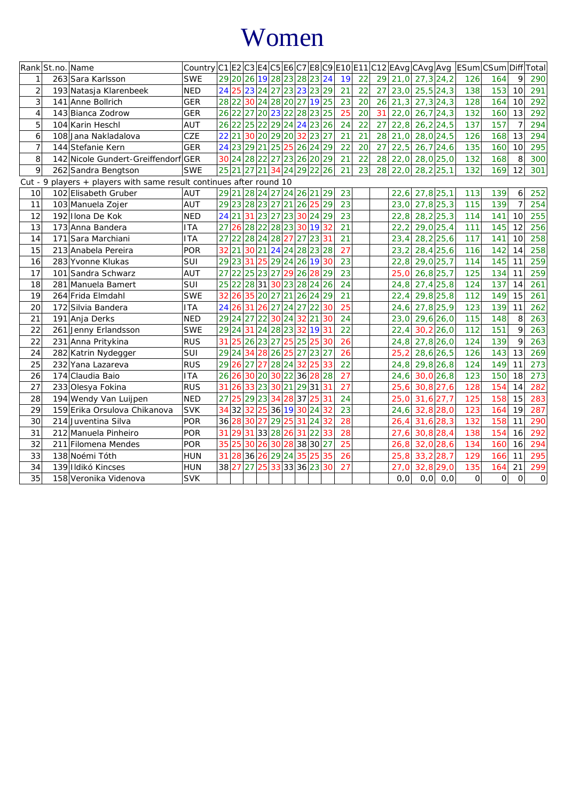# Women

|                | Rank St.no. Name |                                                             | Country C1 E2 C3 E4 C5 E6 C7 E8 C9 E10 E11 C12 EAvg CAvg Avg  ESum CSum Diff Total |                 |          |          |           |       |                            |                 |       |    |    |    |    |      |      |             |              |                |                |                     |
|----------------|------------------|-------------------------------------------------------------|------------------------------------------------------------------------------------|-----------------|----------|----------|-----------|-------|----------------------------|-----------------|-------|----|----|----|----|------|------|-------------|--------------|----------------|----------------|---------------------|
|                |                  | 263 Sara Karlsson                                           | <b>SWE</b>                                                                         |                 |          |          |           |       | 29 20 26 19 28 23 28 23 24 |                 |       |    | 19 | 22 | 29 | 21,0 |      | $27,3$ 24,2 | 126          | 164            | $\mathsf{Q}$   | 290                 |
| $\overline{2}$ |                  | 193 Natasja Klarenbeek                                      | <b>NED</b>                                                                         | 24              |          |          |           |       | 25 23 24 27 23 23 23 29    |                 |       |    | 21 | 22 | 27 | 23,0 |      | $25,5$ 24,3 | 138          | 153            | 10             | 291                 |
| 3              |                  | 141 Anne Bollrich                                           | <b>GER</b>                                                                         |                 |          |          |           |       | 28 22 30 24 28 20 27 19 25 |                 |       |    | 23 | 20 | 26 | 21,3 |      | $27,3$ 24,3 | 128          | 164            | 10             | 292                 |
| $\overline{4}$ |                  | 143 Bianca Zodrow                                           | <b>GER</b>                                                                         |                 |          |          |           |       | 26 22 27 20 23 22 28 23 25 |                 |       |    | 25 | 20 | 31 | 22,0 |      | $26,7$ 24,3 | 132          | 160            | 13             | 292                 |
| 5              |                  | 104 Karin Heschl                                            | AUT                                                                                |                 |          |          |           |       | 26 22 25 22 29 24 24 23 26 |                 |       |    | 24 | 22 | 27 | 22,8 |      | $26,2$ 24,5 | 137          | 157            | $\overline{7}$ | 294                 |
| 6              |                  | 108 Jana Nakladalova                                        | CZE                                                                                |                 |          |          |           |       | 22 21 30 20 29 20 32 23 27 |                 |       |    | 21 | 21 | 28 | 21,0 |      | $28,0$ 24,5 | 126          | 168            | 13             | 294                 |
| $\overline{7}$ |                  | 144 Stefanie Kern                                           | <b>GER</b>                                                                         |                 |          |          |           |       | 24 23 29 21 25 25 26 24 29 |                 |       |    | 22 | 20 | 27 | 22,5 |      | $26,7$ 24,6 | 135          | 160            | 10             | 295                 |
| 8              |                  | 142 Nicole Gundert-Greiffendorf GER                         |                                                                                    |                 |          |          |           |       | 30 24 28 22 27 23 26 20 29 |                 |       |    | 21 | 22 | 28 | 22,0 |      | 28,0 25,0   | 132          | 168            | 8              | 300                 |
| 9              |                  | 262 Sandra Bengtson                                         | <b>SWE</b>                                                                         |                 |          |          |           |       | 25 21 27 21 34 24 29 22 26 |                 |       |    | 21 | 23 | 28 | 22,0 |      | $28,2$ 25,1 | 132          | 169            | 12             | 301                 |
| Cut - 9        |                  | players + players with same result continues after round 10 |                                                                                    |                 |          |          |           |       |                            |                 |       |    |    |    |    |      |      |             |              |                |                |                     |
| 10             |                  | 102 Elisabeth Gruber                                        | AUT                                                                                |                 |          |          |           |       | 29 21 28 24 27 24 26 21 29 |                 |       |    | 23 |    |    | 22,6 |      | $27,8$ 25,1 | 113          | 139            | 6              | 252                 |
| 11             |                  | 103 Manuela Zojer                                           | AUT                                                                                |                 |          |          |           |       | 29 23 28 23 27 21 26 25 29 |                 |       |    | 23 |    |    | 23,0 |      | $27,8$ 25,3 | 115          | 139            | $\overline{7}$ | 254                 |
| 12             |                  | 192 Ilona De Kok                                            | <b>NED</b>                                                                         |                 |          | 24 21 31 |           |       | 232723302429               |                 |       |    | 23 |    |    | 22,8 |      | $28,2$ 25,3 | 114          | 141            | 10             | 255                 |
| 13             |                  | 173 Anna Bandera                                            | <b>ITA</b>                                                                         | 27              | 26       |          |           |       | 28222823301932             |                 |       |    | 21 |    |    | 22,2 |      | $29,0$ 25,4 | 111          | 145            | 12             | 256                 |
| 14             |                  | 171 Sara Marchiani                                          | <b>ITA</b>                                                                         |                 | 27 22    |          |           |       | 28242827                   | 27 23 31        |       |    | 21 |    |    | 23,4 |      | $28,2$ 25,6 | 117          | 141            | 10             | 258                 |
| 15             |                  | 213 Anabela Pereira                                         | POR                                                                                | 32 21           |          | 30       | 21        |       | 24 24 28 23 28             |                 |       |    | 27 |    |    | 23,2 |      | $28,4$ 25,6 | 116          | 142            | 14             | 258                 |
| 16             |                  | 283 Yvonne Klukas                                           | SUI                                                                                |                 | 29 23 31 |          | 25        |       | 29 24 26 19 30             |                 |       |    | 23 |    |    | 22,8 |      | $29,0$ 25,7 | 114          | 145            | 11             | 259                 |
| 17             |                  | 101 Sandra Schwarz                                          | AUT                                                                                |                 | 27 22    | 25 23 27 |           |       | 29 26                      |                 | 28    | 29 | 23 |    |    | 25,0 |      | $26,8$ 25,7 | 125          | 134            | 11             | 259                 |
| 18             |                  | 281 Manuela Bamert                                          | SUI                                                                                |                 | 25 22    | 28 31    |           |       | 30 23 28 24 26             |                 |       |    | 24 |    |    | 24,8 |      | $27,4$ 25,8 | 124          | 137            | 14             | 261                 |
| 19             |                  | 264 Frida Elmdahl                                           | <b>SWE</b>                                                                         | 32              | 26       | 35       | 20 27     |       | 21 26 24 29                |                 |       |    | 21 |    |    | 22,4 |      | $29,8$ 25,8 | 112          | 149            | 15             | 261                 |
| 20             |                  | 172 Silvia Bandera                                          | <b>ITA</b>                                                                         | 24              | 26       | 31       | 26        | 27    | 24 27 22                   |                 |       | 30 | 25 |    |    | 24,6 |      | $27,8$ 25,9 | 123          | 139            | 11             | 262                 |
| 21             |                  | 191 Anja Derks                                              | <b>NED</b>                                                                         |                 |          | 29 24 27 | 22        |       | 30 24 32 21                |                 |       | 30 | 24 |    |    | 23,0 |      | $29,6$ 26,0 | 115          | 148            | 8              | 263                 |
| 22             |                  | 261 Jenny Erlandsson                                        | <b>SWE</b>                                                                         |                 |          | 29 24 31 |           | 24 28 | 23                         | 32              | 19 31 |    | 22 |    |    | 22,4 |      | 30,2 26,0   | 112          | 151            | 9              | 263                 |
| 22             |                  | 231 Anna Pritykina                                          | <b>RUS</b>                                                                         | 31              | 25       | 26 23 27 |           |       | 25 25                      |                 | 25    | 30 | 26 |    |    | 24,8 |      | 27,8 26,0   | 124          | 139            | 9              | 263                 |
| 24             |                  | 282 Katrin Nydegger                                         | SUI                                                                                |                 |          | 29 24 34 |           | 28 26 | 25 27 23 27                |                 |       |    | 26 |    |    | 25,2 |      | $28,6$ 26,5 | 126          | 143            | 13             | 269                 |
| 25             |                  | 232 Yana Lazareva                                           | <b>RUS</b>                                                                         | 29              | 26       | 27       | 27        |       | 28 24                      | 32 <sup>1</sup> | 25    | 33 | 22 |    |    | 24,8 |      | $29,8$ 26,8 | 124          | 149            | 11             | 273                 |
| 26             |                  | 174 Claudia Baio                                            | <b>ITA</b>                                                                         | 26              |          | 26 30 20 |           |       | 30 22 36                   |                 | 28    | 28 | 27 |    |    | 24,6 |      | 30,0 26,8   | 123          | 150            | 18             | 273                 |
| 27             |                  | 233 Olesya Fokina                                           | <b>RUS</b>                                                                         | 31              | 26       |          | 33 23     | 30    | 21 29 31 31                |                 |       |    | 27 |    |    | 25,6 |      | $30,8$ 27,6 | 128          | 154            | 14             | 282                 |
| 28             |                  | 194 Wendy Van Luijpen                                       | <b>NED</b>                                                                         | 27              |          | 25 29 23 |           | 34    | 28 37 25                   |                 |       | 31 | 24 |    |    | 25,0 |      | 31,6 27,7   | 125          | 158            | 15             | 283                 |
| 29             |                  | 159 Erika Orsulova Chikanova                                | <b>SVK</b>                                                                         |                 |          | 34 32 32 | 25        |       | 36 19 30 24 32             |                 |       |    | 23 |    |    | 24,6 |      | $32,8$ 28,0 | 123          | 164            | 19             | 287                 |
| 30             |                  | 214 Juventina Silva                                         | <b>POR</b>                                                                         | 36 <sup>l</sup> |          | 28 30    | 27        | 29    | 25 31 24 32                |                 |       |    | 28 |    |    | 26,4 |      | $31,6$ 28,3 | 132          | 158            | 11             | 290                 |
| 31             |                  | 212 Manuela Pinheiro                                        | <b>POR</b>                                                                         |                 | 31 29    | 31       | 33 28     |       | 26 31 22                   |                 |       | 33 | 28 |    |    | 27,6 |      | $30,8$ 28,4 | 138          | 154            | 16             | 292                 |
| 32             |                  | 211 Filomena Mendes                                         | <b>POR</b>                                                                         | 35              | 25       | 30       | 26        | 30    | 28 38 30 27                |                 |       |    | 25 |    |    | 26,8 |      | $32,0$ 28,6 | 134          | 160            | 16             | 294                 |
| 33             |                  | 138 Noémi Tóth                                              | <b>HUN</b>                                                                         | 31              | 28       | 36       | <b>26</b> | 29    | 24 35                      |                 | 25    | 35 | 26 |    |    | 25,8 |      | $33,2$ 28,7 | 129          | 166            | 11             | 295                 |
| 34             |                  | 139 Ildikó Kincses                                          | <b>HUN</b>                                                                         | 38 27           |          | 27       | 25        |       | 33 33 36 23 30             |                 |       |    | 27 |    |    | 27,0 |      | $32,8$ 29,0 | 135          | 164            | 21             | 299                 |
| 35             |                  | 158 Veronika Videnova                                       | <b>SVK</b>                                                                         |                 |          |          |           |       |                            |                 |       |    |    |    |    | 0,0  | 0, 0 | 0, 0        | $\mathbf{O}$ | $\overline{O}$ | 0              | $\mathsf{O}\xspace$ |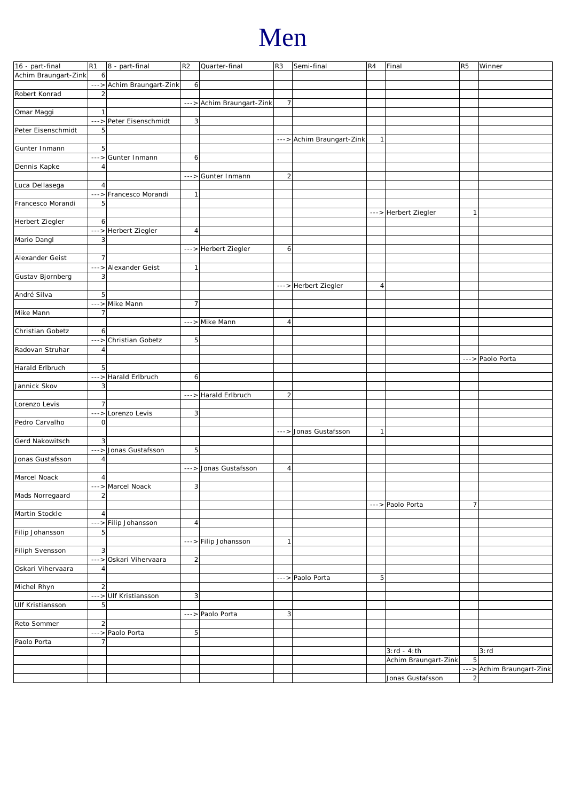# Men

| 16 - part-final        | R1                      | $ 8 - part-final$         | R <sub>2</sub>          | Quarter-final             | R <sub>3</sub> | Semi-final                | R4             | Final                | R <sub>5</sub> | Winner                    |
|------------------------|-------------------------|---------------------------|-------------------------|---------------------------|----------------|---------------------------|----------------|----------------------|----------------|---------------------------|
| Achim Braungart-Zink   | 6                       |                           |                         |                           |                |                           |                |                      |                |                           |
|                        |                         | ---> Achim Braungart-Zink | 6                       |                           |                |                           |                |                      |                |                           |
| Robert Konrad          | $\overline{\mathbf{c}}$ |                           |                         |                           |                |                           |                |                      |                |                           |
|                        |                         |                           |                         | ---> Achim Braungart-Zink | 7              |                           |                |                      |                |                           |
| Omar Maggi             | $\mathbf{1}$            |                           |                         |                           |                |                           |                |                      |                |                           |
|                        |                         | ---> Peter Eisenschmidt   | 3                       |                           |                |                           |                |                      |                |                           |
| Peter Eisenschmidt     | 5                       |                           |                         |                           |                |                           |                |                      |                |                           |
|                        |                         |                           |                         |                           |                |                           |                |                      |                |                           |
|                        |                         |                           |                         |                           |                | ---> Achim Braungart-Zink | $\mathbf{1}$   |                      |                |                           |
| Gunter Inmann          | 5                       |                           |                         |                           |                |                           |                |                      |                |                           |
|                        | $---$                   | Gunter Inmann             | 6                       |                           |                |                           |                |                      |                |                           |
| Dennis Kapke           | $\overline{4}$          |                           |                         |                           |                |                           |                |                      |                |                           |
|                        |                         |                           |                         | ---> Gunter Inmann        | $\overline{2}$ |                           |                |                      |                |                           |
| Luca Dellasega         | $\overline{4}$          |                           |                         |                           |                |                           |                |                      |                |                           |
|                        |                         | ---> Francesco Morandi    | $\mathbf{1}$            |                           |                |                           |                |                      |                |                           |
| Francesco Morandi      | 5                       |                           |                         |                           |                |                           |                |                      |                |                           |
|                        |                         |                           |                         |                           |                |                           |                |                      |                |                           |
|                        |                         |                           |                         |                           |                |                           |                | ---> Herbert Ziegler | 1              |                           |
| Herbert Ziegler        | 6                       |                           |                         |                           |                |                           |                |                      |                |                           |
|                        |                         | ---> Herbert Ziegler      | $\overline{4}$          |                           |                |                           |                |                      |                |                           |
| Mario Dangl            | 3                       |                           |                         |                           |                |                           |                |                      |                |                           |
|                        |                         |                           |                         | ---> Herbert Ziegler      | $6 \mid$       |                           |                |                      |                |                           |
| Alexander Geist        | $\overline{7}$          |                           |                         |                           |                |                           |                |                      |                |                           |
|                        |                         | ---> Alexander Geist      | $\mathbf{1}$            |                           |                |                           |                |                      |                |                           |
| Gustav Bjornberg       | 3                       |                           |                         |                           |                |                           |                |                      |                |                           |
|                        |                         |                           |                         |                           |                | ---> Herbert Ziegler      | $\sqrt{4}$     |                      |                |                           |
|                        |                         |                           |                         |                           |                |                           |                |                      |                |                           |
| André Silva            | 5                       |                           |                         |                           |                |                           |                |                      |                |                           |
|                        |                         | ---> Mike Mann            | $\overline{7}$          |                           |                |                           |                |                      |                |                           |
| Mike Mann              | $\overline{7}$          |                           |                         |                           |                |                           |                |                      |                |                           |
|                        |                         |                           |                         | ---> Mike Mann            | $\overline{4}$ |                           |                |                      |                |                           |
| Christian Gobetz       | 6                       |                           |                         |                           |                |                           |                |                      |                |                           |
|                        | $--->$                  | Christian Gobetz          | 5                       |                           |                |                           |                |                      |                |                           |
| Radovan Struhar        | $\overline{4}$          |                           |                         |                           |                |                           |                |                      |                |                           |
|                        |                         |                           |                         |                           |                |                           |                |                      |                | ---> Paolo Porta          |
| Harald Erlbruch        | 5                       |                           |                         |                           |                |                           |                |                      |                |                           |
|                        |                         |                           |                         |                           |                |                           |                |                      |                |                           |
|                        |                         |                           |                         |                           |                |                           |                |                      |                |                           |
|                        |                         | ---> Harald Erlbruch      | 6                       |                           |                |                           |                |                      |                |                           |
| Jannick Skov           | 3                       |                           |                         |                           |                |                           |                |                      |                |                           |
|                        |                         |                           |                         | ---> Harald Erlbruch      | $\overline{2}$ |                           |                |                      |                |                           |
| Lorenzo Levis          | $\overline{7}$          |                           |                         |                           |                |                           |                |                      |                |                           |
|                        | $---$                   | Lorenzo Levis             |                         |                           |                |                           |                |                      |                |                           |
|                        |                         |                           | 3                       |                           |                |                           |                |                      |                |                           |
| Pedro Carvalho         | $\mathbf 0$             |                           |                         |                           |                |                           |                |                      |                |                           |
|                        |                         |                           |                         |                           |                | ---> Jonas Gustafsson     | $\mathbf{1}$   |                      |                |                           |
| Gerd Nakowitsch        | 3                       |                           |                         |                           |                |                           |                |                      |                |                           |
|                        |                         | ---> Jonas Gustafsson     | 5                       |                           |                |                           |                |                      |                |                           |
| Jonas Gustafsson       | $\overline{4}$          |                           |                         |                           |                |                           |                |                      |                |                           |
|                        |                         |                           |                         | ---> Jonas Gustafsson     | $\overline{4}$ |                           |                |                      |                |                           |
| Marcel Noack           | 4                       |                           |                         |                           |                |                           |                |                      |                |                           |
|                        |                         | ---> Marcel Noack         | $\overline{\mathbf{3}}$ |                           |                |                           |                |                      |                |                           |
| Mads Norregaard        | $\overline{2}$          |                           |                         |                           |                |                           |                |                      |                |                           |
|                        |                         |                           |                         |                           |                |                           |                | ---> Paolo Porta     | $\overline{7}$ |                           |
|                        |                         |                           |                         |                           |                |                           |                |                      |                |                           |
| Martin Stockle         | $\overline{4}$          |                           |                         |                           |                |                           |                |                      |                |                           |
|                        |                         | --->Filip Johansson       | 4 <sup>1</sup>          |                           |                |                           |                |                      |                |                           |
| Filip Johansson        | 5                       |                           |                         |                           |                |                           |                |                      |                |                           |
|                        |                         |                           |                         | --->Filip Johansson       | 1              |                           |                |                      |                |                           |
| <b>Filiph Svensson</b> | 3                       |                           |                         |                           |                |                           |                |                      |                |                           |
|                        |                         | ---> Oskari Vihervaara    | $\overline{c}$          |                           |                |                           |                |                      |                |                           |
| Oskari Vihervaara      | $\overline{4}$          |                           |                         |                           |                |                           |                |                      |                |                           |
|                        |                         |                           |                         |                           |                | ---> Paolo Porta          | $\overline{5}$ |                      |                |                           |
|                        |                         |                           |                         |                           |                |                           |                |                      |                |                           |
| Michel Rhyn            | $\overline{2}$          |                           |                         |                           |                |                           |                |                      |                |                           |
|                        | $---$                   | Ulf Kristiansson          | $\overline{\mathbf{3}}$ |                           |                |                           |                |                      |                |                           |
| Ulf Kristiansson       | 5                       |                           |                         |                           |                |                           |                |                      |                |                           |
|                        |                         |                           |                         | ---> Paolo Porta          | 3              |                           |                |                      |                |                           |
| Reto Sommer            | $\overline{c}$          |                           |                         |                           |                |                           |                |                      |                |                           |
|                        |                         | ---> Paolo Porta          | 5                       |                           |                |                           |                |                      |                |                           |
| Paolo Porta            | $\overline{7}$          |                           |                         |                           |                |                           |                |                      |                |                           |
|                        |                         |                           |                         |                           |                |                           |                | $3:rd - 4:th$        |                | 3:rd                      |
|                        |                         |                           |                         |                           |                |                           |                |                      | 5              |                           |
|                        |                         |                           |                         |                           |                |                           |                | Achim Braungart-Zink |                |                           |
|                        |                         |                           |                         |                           |                |                           |                | Jonas Gustafsson     | $\overline{c}$ | ---> Achim Braungart-Zink |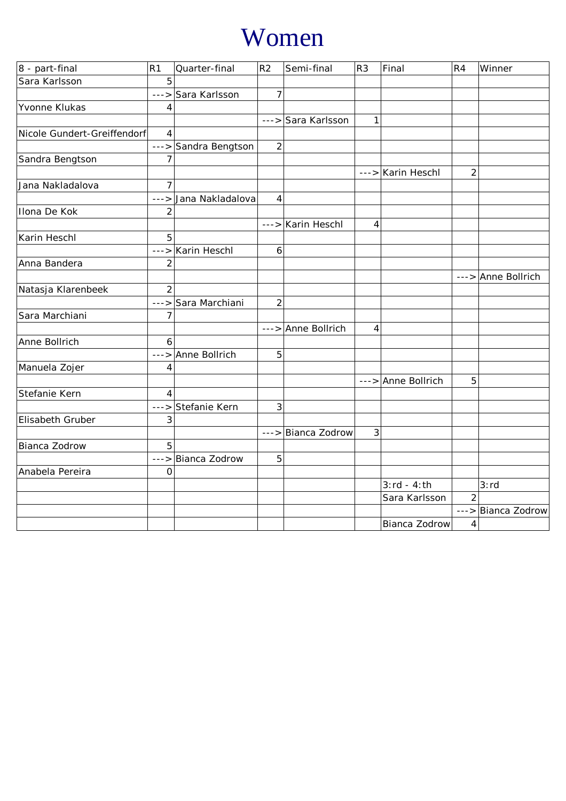# Women

| 8 - part-final              | R <sub>1</sub> | Quarter-final        | R <sub>2</sub> | Semi-final         | R <sub>3</sub> | Final                | R <sub>4</sub> | Winner             |
|-----------------------------|----------------|----------------------|----------------|--------------------|----------------|----------------------|----------------|--------------------|
| Sara Karlsson               | 5              |                      |                |                    |                |                      |                |                    |
|                             | $---$          | Sara Karlsson        | 7              |                    |                |                      |                |                    |
| Yvonne Klukas               | 4              |                      |                |                    |                |                      |                |                    |
|                             |                |                      |                | ---> Sara Karlsson | $\mathbf{1}$   |                      |                |                    |
| Nicole Gundert-Greiffendorf | $\overline{4}$ |                      |                |                    |                |                      |                |                    |
|                             |                | ---> Sandra Bengtson | $\overline{2}$ |                    |                |                      |                |                    |
| Sandra Bengtson             | $\overline{7}$ |                      |                |                    |                |                      |                |                    |
|                             |                |                      |                |                    |                | $---$ > Karin Heschl | $\overline{2}$ |                    |
| Jana Nakladalova            | $\overline{7}$ |                      |                |                    |                |                      |                |                    |
|                             | $--&>$         | Jana Nakladalova     | $\overline{4}$ |                    |                |                      |                |                    |
| Ilona De Kok                | $\overline{2}$ |                      |                |                    |                |                      |                |                    |
|                             |                |                      |                | ---> Karin Heschl  | 4              |                      |                |                    |
| Karin Heschl                | 5              |                      |                |                    |                |                      |                |                    |
|                             | $--->$         | Karin Heschl         | 6              |                    |                |                      |                |                    |
| Anna Bandera                | $\overline{2}$ |                      |                |                    |                |                      |                |                    |
|                             |                |                      |                |                    |                |                      |                | ---> Anne Bollrich |
| Natasja Klarenbeek          | $\overline{2}$ |                      |                |                    |                |                      |                |                    |
|                             |                | ---> Sara Marchiani  | $\overline{2}$ |                    |                |                      |                |                    |
| Sara Marchiani              | $\overline{7}$ |                      |                |                    |                |                      |                |                    |
|                             |                |                      |                | ---> Anne Bollrich | $\overline{4}$ |                      |                |                    |
| Anne Bollrich               | 6              |                      |                |                    |                |                      |                |                    |
|                             |                | ---> Anne Bollrich   | 5              |                    |                |                      |                |                    |
| Manuela Zojer               | 4              |                      |                |                    |                |                      |                |                    |
|                             |                |                      |                |                    |                | ---> Anne Bollrich   | 5              |                    |
| Stefanie Kern               | 4              |                      |                |                    |                |                      |                |                    |
|                             | $--->$         | Stefanie Kern        | 3              |                    |                |                      |                |                    |
| Elisabeth Gruber            | 3              |                      |                |                    |                |                      |                |                    |
|                             |                |                      |                | ---> Bianca Zodrow | 3              |                      |                |                    |
| Bianca Zodrow               | 5              |                      |                |                    |                |                      |                |                    |
|                             |                | ---> Bianca Zodrow   | 5              |                    |                |                      |                |                    |
| Anabela Pereira             | $\mathbf 0$    |                      |                |                    |                |                      |                |                    |
|                             |                |                      |                |                    |                | $3:rd - 4:th$        |                | 3:rd               |
|                             |                |                      |                |                    |                | Sara Karlsson        | $\overline{2}$ |                    |
|                             |                |                      |                |                    |                |                      |                | ---> Bianca Zodrow |
|                             |                |                      |                |                    |                | Bianca Zodrow        | 4              |                    |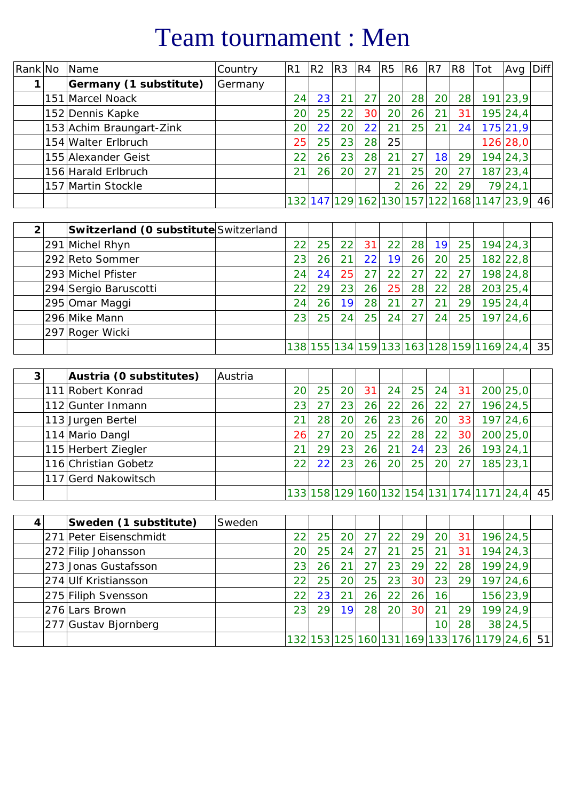# Team tournament : Men

| Rank No | Name                     | Country | R <sub>1</sub>  | R <sub>2</sub> | R <sub>3</sub> | R <sub>4</sub> | R <sub>5</sub> | R6 | R7              | R <sub>8</sub> | Tot                                        | Avg      | <b>Diff</b> |
|---------|--------------------------|---------|-----------------|----------------|----------------|----------------|----------------|----|-----------------|----------------|--------------------------------------------|----------|-------------|
|         | Germany (1 substitute)   | Germany |                 |                |                |                |                |    |                 |                |                                            |          |             |
|         | 151 Marcel Noack         |         | 24              | 23             | 21             | 27             | 20             | 28 | 20 <sub>l</sub> | 28             |                                            | 191 23,9 |             |
|         | 152 Dennis Kapke         |         | 20              | 25             | 22             | 30             | 20             | 26 | 21              | 31             |                                            | 195 24,4 |             |
|         | 153 Achim Braungart-Zink |         | 20              | 22             | 20             | 22             | 21             | 25 | 21              | 24             |                                            | 175 21,9 |             |
|         | 154 Walter Erlbruch      |         | 25              | 25             | 23             | 28 l           | 25             |    |                 |                |                                            | 126 28,0 |             |
|         | 155 Alexander Geist      |         | 22 <sub>1</sub> | 26             | 23             | 28             | 21             | 27 | 18              | 29             |                                            | 194 24,3 |             |
|         | 156 Harald Erlbruch      |         | 21              | 26             | 20             | 27             | 21             | 25 | 20              | 27             |                                            | 187 23,4 |             |
|         | 157 Martin Stockle       |         |                 |                |                |                |                | 26 | 22              | 29             |                                            | 79 24,1  |             |
|         |                          |         |                 |                |                |                |                |    |                 |                | 132 147 129 162 130 157 122 168 1147 23, 9 |          | 46          |

| $\mathfrak{p}$ | Switzerland (O substitute Switzerland |                 |    |    |    |    |                 |                 |           |                                          |          |    |
|----------------|---------------------------------------|-----------------|----|----|----|----|-----------------|-----------------|-----------|------------------------------------------|----------|----|
|                | 291 Michel Rhyn                       | 22 <sub>1</sub> | 25 | 22 | 31 | 22 | 28              | 19 <sup>1</sup> | <b>25</b> |                                          | 194 24,3 |    |
|                | 292 Reto Sommer                       | 23              | 26 | 21 | 22 | 19 | 26              | 20 <sub>l</sub> | 251       |                                          | 182 22,8 |    |
|                | 293 Michel Pfister                    | 24              | 24 | 25 | 27 | 22 | 27 <sup>1</sup> | 22              | 27        |                                          | 198 24,8 |    |
|                | 294 Sergio Baruscotti                 | 22              | 29 | 23 | 26 | 25 | 28              | 22              | 28        |                                          | 203 25,4 |    |
|                | 295 Omar Maggi                        | 24              | 26 | 19 | 28 | 21 | 27              |                 | 29        |                                          | 195 24,4 |    |
|                | 296 Mike Mann                         | 23              | 25 | 24 | 25 | 24 | 27 <sup>1</sup> | 24              | 25        |                                          | 197 24,6 |    |
|                | 297 Roger Wicki                       |                 |    |    |    |    |                 |                 |           |                                          |          |    |
|                |                                       |                 |    |    |    |    |                 |                 |           | 138 155 134 159 133 163 128 159 169 24,4 |          | 35 |

| 3 | Austria (0 substitutes) | Austria |                 |                 |                 |    |     |    |                 |                 |                                           |          |    |
|---|-------------------------|---------|-----------------|-----------------|-----------------|----|-----|----|-----------------|-----------------|-------------------------------------------|----------|----|
|   | 111 Robert Konrad       |         | 20              | 25 <sub>1</sub> | 20 <sub>l</sub> | 31 | 24  | 25 | 24              | 31              |                                           | 200 25,0 |    |
|   | 112 Gunter Inmann       |         | 23              |                 | 23              | 26 | 22  | 26 | 22              | 27              |                                           | 196 24,5 |    |
|   | 113 Jurgen Bertel       |         | 21              | 28              | 201             | 26 | 23  | 26 | 20 <sup>1</sup> | 33              |                                           | 197 24,6 |    |
|   | 114 Mario Dangl         |         | 26              |                 | 20 <sub>1</sub> | 25 | 221 | 28 | 22 <sub>1</sub> | 30              |                                           | 200 25,0 |    |
|   | 115 Herbert Ziegler     |         | 21              | 29              | 23 <sub>1</sub> | 26 | 21  | 24 | 23              | 26 <sub>1</sub> |                                           | 193 24,1 |    |
|   | 116 Christian Gobetz    |         | 22 <sub>1</sub> | 22              | 23              | 26 | 20  | 25 | 20 <sup>1</sup> | 27              |                                           | 185 23,1 |    |
|   | 117 Gerd Nakowitsch     |         |                 |                 |                 |    |     |    |                 |                 |                                           |          |    |
|   |                         |         |                 |                 |                 |    |     |    |                 |                 | 133 158 129 160 132 154 131 174 1171 24,4 |          | 45 |

| 4 | Sweden (1 substitute)  | Sweden |                 |                 |                 |     |                 |                 |                 |                 |                                             |          |    |
|---|------------------------|--------|-----------------|-----------------|-----------------|-----|-----------------|-----------------|-----------------|-----------------|---------------------------------------------|----------|----|
|   | 271 Peter Eisenschmidt |        | 22              | 25 <sub>1</sub> | 20 <sup>1</sup> | 271 | 22              | 29              | 20 <sup>1</sup> | 31              |                                             | 196 24,5 |    |
|   | 272 Filip Johansson    |        | 20              | 25              | 24 <sub>1</sub> | 27  | 21              | 251             |                 | 31              |                                             | 194 24,3 |    |
|   | 273 Jonas Gustafsson   |        | 23              | 26              |                 | 27  | 23              | 29              | 22              | 28              |                                             | 199 24,9 |    |
|   | 274 Ulf Kristiansson   |        | 22 <sub>1</sub> | 25              | 20 <sub>1</sub> | 25  | 23              | 30              | 23              | 291             |                                             | 197 24,6 |    |
|   | 275 Filiph Svensson    |        | 22              | 23              |                 | 26  | 22              | 26 <sub>1</sub> | 16              |                 |                                             | 156 23,9 |    |
|   | 276 Lars Brown         |        | 23              | 29              | 19              | 28  | 20 <sub>1</sub> | 30 <sub>1</sub> |                 | 291             |                                             | 199 24,9 |    |
|   | 277 Gustav Bjornberg   |        |                 |                 |                 |     |                 |                 | 10 <sub>1</sub> | 28 <sub>1</sub> |                                             | 38 24,5  |    |
|   |                        |        |                 |                 |                 |     |                 |                 |                 |                 | $132 153 125 160 131 169 133 176 1179 24,6$ |          | 51 |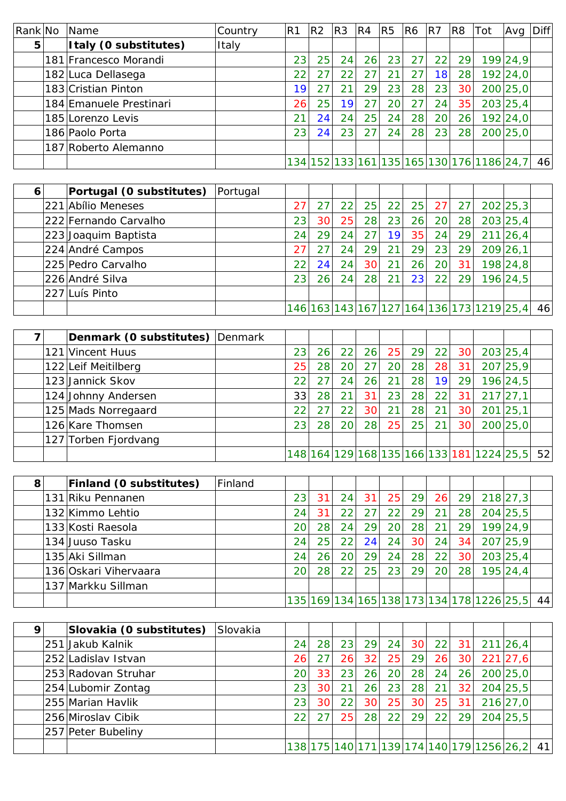| Rank No | Name                    | Country | R <sub>1</sub> | R <sub>2</sub> | R3 | R <sub>4</sub> | R5              | R6 | R7              | R <sub>8</sub> | Tot                                       | Avg      | <b>Diff</b> |
|---------|-------------------------|---------|----------------|----------------|----|----------------|-----------------|----|-----------------|----------------|-------------------------------------------|----------|-------------|
| 5       | Italy (0 substitutes)   | Italy   |                |                |    |                |                 |    |                 |                |                                           |          |             |
|         | 181 Francesco Morandi   |         | 23             | 25             | 24 | 26             | 23              | 27 | 22              | 29             |                                           | 199 24,9 |             |
|         | 182 Luca Dellasega      |         | 22             | 27             | 22 | 27             | 21              | 27 | 18              | 28             |                                           | 192 24,0 |             |
|         | 183 Cristian Pinton     |         | 19             |                | 21 | 29             | 23              | 28 | 23              | 30             |                                           | 200 25,0 |             |
|         | 184 Emanuele Prestinari |         | 26             | 25             | 19 | 27             | 20 <sup>1</sup> | 27 | 24              | 35             |                                           | 203 25,4 |             |
|         | 185 Lorenzo Levis       |         | 21             | 24             | 24 | 25             | 24              | 28 | 20 <sup>1</sup> | 26             |                                           | 192 24,0 |             |
|         | 186 Paolo Porta         |         | 23             | 24             | 23 | 27             | 24              | 28 | 23              | 28             |                                           | 200 25,0 |             |
|         | 187 Roberto Alemanno    |         |                |                |    |                |                 |    |                 |                |                                           |          |             |
|         |                         |         |                |                |    |                |                 |    |                 |                | 134 152 133 161 135 165 130 176 1186 24,7 |          | 46          |

| 6 | Portugal (0 substitutes) | Portugal |                 |    |                 |                 |    |     |                 |    |                                           |          |    |
|---|--------------------------|----------|-----------------|----|-----------------|-----------------|----|-----|-----------------|----|-------------------------------------------|----------|----|
|   | 221 Abílio Meneses       |          | 27              | 27 | 22 <sub>1</sub> | 25              | 22 | 25  | 27              | 27 |                                           | 202 25,3 |    |
|   | 222 Fernando Carvalho    |          | 23 <sub>1</sub> | 30 | 25              | 28              | 23 | 26  | 20 <sub>l</sub> | 28 |                                           | 203 25,4 |    |
|   | 223 Joaquim Baptista     |          | 24              | 29 | 24              | 27              | 19 | 35  | 24              | 29 |                                           | 211 26,4 |    |
|   | 224 André Campos         |          | 27              |    | 24              | 29              | 21 | 29  | 23 <sub>1</sub> | 29 |                                           | 209 26,1 |    |
|   | 225 Pedro Carvalho       |          | 22 <sub>1</sub> | 24 | 24              | 30 <sup>1</sup> | 21 | 26  | 20 <sup>1</sup> | 31 |                                           | 198 24,8 |    |
|   | 226 André Silva          |          | 23 <sub>1</sub> | 26 | 24              | 28              | 21 | 231 | 22              | 29 |                                           | 196 24,5 |    |
|   | 227 Luís Pinto           |          |                 |    |                 |                 |    |     |                 |    |                                           |          |    |
|   |                          |          |                 |    |                 |                 |    |     |                 |    | 146 163 143 167 127 164 136 173 1219 25,4 |          | 46 |

|  | Denmark (0 substitutes) Denmark |                 |    |                 |                 |    |    |                 |                 |                                           |                 |    |
|--|---------------------------------|-----------------|----|-----------------|-----------------|----|----|-----------------|-----------------|-------------------------------------------|-----------------|----|
|  | 121 Vincent Huus                | 23              | 26 | 22              | 26              | 25 | 29 | 22              | 30 <sup>1</sup> |                                           | 203 25,4        |    |
|  | 122 Leif Meitilberg             | 25              | 28 | 20 <sub>1</sub> | 27              | 20 | 28 | 28              | 31              |                                           | 207 25,9        |    |
|  | 123 Jannick Skov                | 22              | 27 | 24              | 26              | 21 | 28 | 19              | 29              |                                           | 196 24,5        |    |
|  | 124 Johnny Andersen             | 33              | 28 | 21              | 31              | 23 | 28 | 22 <sub>1</sub> | 31              |                                           | $217$ 27,1      |    |
|  | 125 Mads Norregaard             | 22              |    | 22              | 30 <sub>1</sub> | 21 | 28 | 21              | 30 <sub>1</sub> |                                           | $201 \,   25,1$ |    |
|  | 126 Kare Thomsen                | 23 <sub>1</sub> | 28 | 20              | 28              | 25 | 25 | 21              | 30 <sub>1</sub> |                                           | 200 25,0        |    |
|  | 127 Torben Fjordvang            |                 |    |                 |                 |    |    |                 |                 |                                           |                 |    |
|  |                                 |                 |    |                 |                 |    |    |                 |                 | 148 164 129 168 135 166 133 181 1224 25,5 |                 | 52 |

| 8 | Finland (0 substitutes) | Finland |    |                 |    |    |    |                 |           |     |                                            |          |    |
|---|-------------------------|---------|----|-----------------|----|----|----|-----------------|-----------|-----|--------------------------------------------|----------|----|
|   | 131 Riku Pennanen       |         | 23 | 31              | 24 | 31 | 25 | 29              | <b>26</b> | 29  |                                            | 218 27,3 |    |
|   | 132 Kimmo Lehtio        |         | 24 | 31              | 22 | 27 | 22 | 29              | 21        | 281 |                                            | 204 25,5 |    |
|   | 133 Kosti Raesola       |         | 20 | 28              | 24 | 29 | 20 | 28              | 21        | 29  |                                            | 199 24,9 |    |
|   | 134 Juuso Tasku         |         | 24 | 25              | 22 | 24 | 24 | 30 <sup>1</sup> | 24        | 34  |                                            | 207 25,9 |    |
|   | 135 Aki Sillman         |         | 24 | 26              | 20 | 29 | 24 | 28              | 22        | 30  |                                            | 203 25,4 |    |
|   | 136 Oskari Vihervaara   |         | 20 | 28 <sub>1</sub> | 22 | 25 | 23 | 29              | <b>20</b> | 28  |                                            | 195 24,4 |    |
|   | 137 Markku Sillman      |         |    |                 |    |    |    |                 |           |     |                                            |          |    |
|   |                         |         |    |                 |    |    |    |                 |           |     | 135 169 134 165 138 173 134 178 1226 25, 5 |          | 44 |

| 9 | Slovakia (0 substitutes) | Slovakia |                   |                 |                 |                 |    |                 |     |                 |                                            |            |    |
|---|--------------------------|----------|-------------------|-----------------|-----------------|-----------------|----|-----------------|-----|-----------------|--------------------------------------------|------------|----|
|   | 251 Jakub Kalnik         |          | 24                | 28              | 23 <sub>1</sub> | 29I             | 24 | 30 <sup>1</sup> | 22  | 31              |                                            | 211 26,4   |    |
|   | 252 Ladislav Istvan      |          | 26                | 27              | 26              | 32              | 25 | 29              | 26  | 30 <sup>1</sup> |                                            | $221$ 27,6 |    |
|   | 253 Radovan Struhar      |          | 20                | 33              | 23              | 26 <sub>1</sub> | 20 | 28              | 24  | 26              |                                            | 200 25,0   |    |
|   | 254 Lubomir Zontag       |          | 23                | 30              | 21              | 26              | 23 | 28              | 21  | 32              |                                            | 204 25,5   |    |
|   | 255 Marian Havlik        |          | 23                | 30 <sup>1</sup> | 22 <sub>1</sub> | 30 <sup>1</sup> | 25 | 30 <sup>1</sup> | 25  | 31              |                                            | 216 27,0   |    |
|   | 256 Miroslav Cibik       |          | $22 \overline{)}$ | 27              | 25              | 28              | 22 | 29              | 221 | 29              |                                            | 204 25,5   |    |
|   | 257 Peter Bubeliny       |          |                   |                 |                 |                 |    |                 |     |                 |                                            |            |    |
|   |                          |          |                   |                 |                 |                 |    |                 |     |                 | 138 175 140 171 139 174 140 179 1256 26, 2 |            | 41 |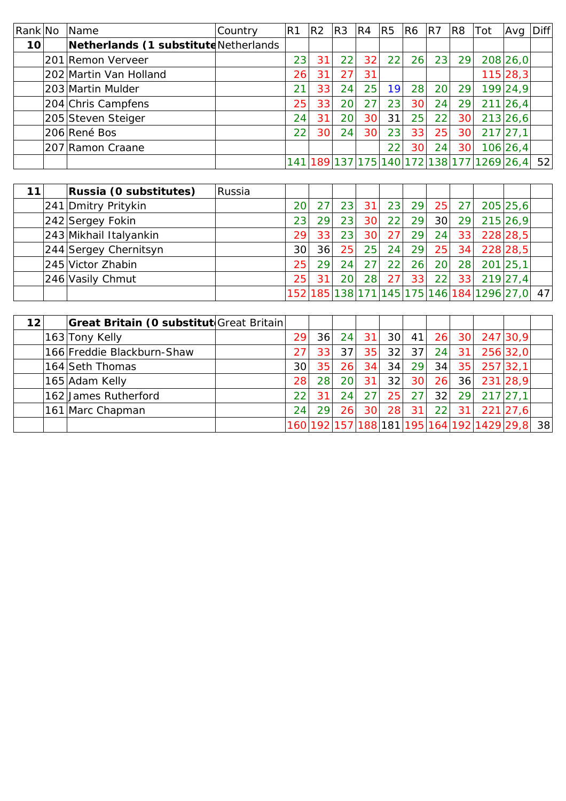| Rank No | Name                                  | Country | R <sub>1</sub> | R <sub>2</sub> | R3              | R4              | R5 | R6              | R7              | R8        | Tot                                   | Avg      | <b>Diff</b> |
|---------|---------------------------------------|---------|----------------|----------------|-----------------|-----------------|----|-----------------|-----------------|-----------|---------------------------------------|----------|-------------|
| 10      | Netherlands (1 substitute Netherlands |         |                |                |                 |                 |    |                 |                 |           |                                       |          |             |
|         | 201 Remon Verveer                     |         | 23             | 31             | 22              | 32              | 22 | 26              | 23              | <u>29</u> |                                       | 208 26,0 |             |
|         | 202 Martin Van Holland                |         | 26             | 31             | 27              | 31              |    |                 |                 |           |                                       | 115 28,3 |             |
|         | 203 Martin Mulder                     |         | 21             | 33             | 24              | 25 <sub>1</sub> | 19 | 28              | 20 <sup>1</sup> | <u>29</u> |                                       | 199 24,9 |             |
|         | 204 Chris Campfens                    |         | 25             | 33             | 20              | 27              | 23 | 30 <sup>1</sup> | 24              | 29        |                                       | 211 26,4 |             |
|         | 205 Steven Steiger                    |         | 24             | 31             | 20 <sub>1</sub> | 30              | 31 | 25              | 22              | 30        |                                       | 213 26,6 |             |
|         | 206 René Bos                          |         | 22             | 30             | 24              | 30              | 23 | 33              | 25              | 30        |                                       | 217 27,1 |             |
|         | 207 Ramon Craane                      |         |                |                |                 |                 | 22 | 30              | 24              | 30        |                                       | 106 26,4 |             |
|         |                                       |         | 141            |                |                 |                 |    |                 |                 |           | 189 137 175 140 172 138 177 1269 26,4 |          | 52          |

| 11 | Russia (0 substitutes) | Russia |                 |    |    |                 |    |           |                 |                 |                                              |            |  |
|----|------------------------|--------|-----------------|----|----|-----------------|----|-----------|-----------------|-----------------|----------------------------------------------|------------|--|
|    | 241 Dmitry Pritykin    |        | 20 <sub>1</sub> |    | 23 | 31              | 23 | <b>29</b> | 25              | $-27$           |                                              | 205 25,6   |  |
|    | 242 Sergey Fokin       |        | 231             | 29 | 23 | 30 <sup>1</sup> | 22 | 29        | 30 <sup>l</sup> | 29              |                                              | 215 26,9   |  |
|    | 243 Mikhail Italyankin |        | 29              | 33 | 23 | 30 <sup>1</sup> | 27 | 29        | 24              | 33              |                                              | 228 28,5   |  |
|    | 244 Sergey Chernitsyn  |        | 30 <sup>1</sup> | 36 | 25 | 25 <sub>1</sub> | 24 | 29        | 25              | 34              |                                              | 228 28,5   |  |
|    | 245 Victor Zhabin      |        | 251             | 29 | 24 | 27              | 22 | 26        | 20 <sub>l</sub> | 28              |                                              | $201$ 25,1 |  |
|    | 246 Vasily Chmut       |        | 25 <sub>1</sub> | 31 | 20 | 28              | 27 | 33        | 22              | 33 <sup>1</sup> |                                              | 219 27.4   |  |
|    |                        |        |                 |    |    |                 |    |           |                 |                 | 152 185 138 171 145 175 146 184 1296 27,0 47 |            |  |

| 12 | Great Britain (O substitut Great Britain |                 |                 |                 |                 |                 |                 |           |                 |                                            |          |    |
|----|------------------------------------------|-----------------|-----------------|-----------------|-----------------|-----------------|-----------------|-----------|-----------------|--------------------------------------------|----------|----|
|    | 163 Tony Kelly                           | 29              | 36              | 24              | 31              | 30 <sup>l</sup> | 41              | 26        | 30              |                                            | 247 30,9 |    |
|    | 166 Freddie Blackburn-Shaw               |                 | 33 <sub>1</sub> | 37 <sub>1</sub> | 35 <sub>1</sub> | 32              | 37              | 24        | 31              |                                            | 256 32,0 |    |
|    | 164 Seth Thomas                          | 30              | 35 <sub>1</sub> | 26              | 34 <sub>1</sub> | 34              | 29              | 34        | 35 <sub>1</sub> |                                            | 257 32,1 |    |
|    | 165 Adam Kelly                           | 281             | 28 <sub>1</sub> | 20 <sup>1</sup> | 31              | 32              | 30 <sup>1</sup> | <b>26</b> | 36              |                                            | 231 28,9 |    |
|    | 162 James Rutherford                     | 22 <sub>1</sub> | 31              | 24              | 27              | 25              | 27              | 32        | <b>29</b>       |                                            | 217 27,1 |    |
|    | 161 Marc Chapman                         | 24 <sub>1</sub> | 29              | 26              | 30 <sub>1</sub> | 28              | 31              | 22        | 31              |                                            | 221 27.6 |    |
|    |                                          |                 |                 |                 |                 |                 |                 |           |                 | 160 192 157 188 181 195 164 192 1429 29, 8 |          | 38 |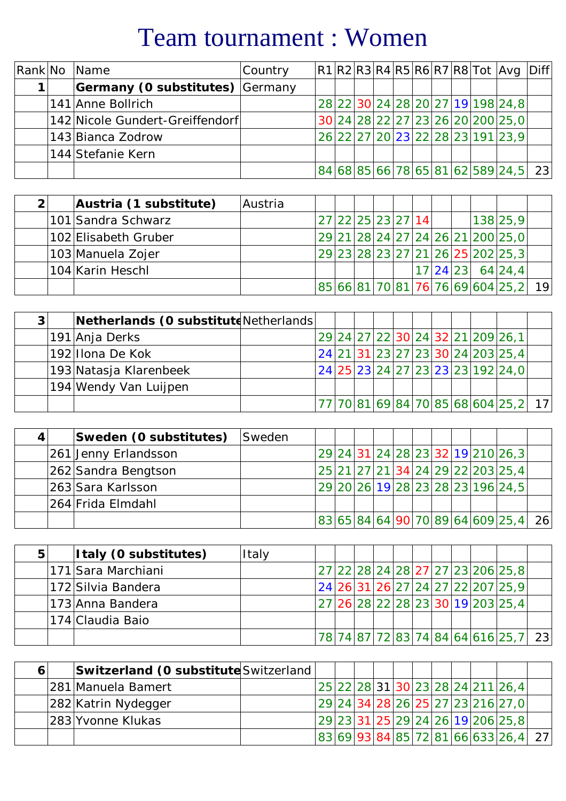# Team tournament : Women

|  | Rank No Name                    | Country |  |  |  |  | $ R1 R2 R3 R4 R5 R6 R7 R8 Tot Avg Diff $ |  |
|--|---------------------------------|---------|--|--|--|--|------------------------------------------|--|
|  | Germany (0 substitutes) Germany |         |  |  |  |  |                                          |  |
|  | 141 Anne Bollrich               |         |  |  |  |  | 28 22 30 24 28 20 27 19 19 24, 8         |  |
|  | 142 Nicole Gundert-Greiffendorf |         |  |  |  |  | 30 24 28 22 27 23 26 20 200 25,0         |  |
|  | 143 Bianca Zodrow               |         |  |  |  |  | 26 22 27 20 23 22 28 23 191 23,9         |  |
|  | 144 Stefanie Kern               |         |  |  |  |  |                                          |  |
|  |                                 |         |  |  |  |  | 84 68 85 66 78 65 81 62 589 24,5  23     |  |

|  | Austria (1 substitute) | Austria |  |                   |  |  |  |                                   |    |
|--|------------------------|---------|--|-------------------|--|--|--|-----------------------------------|----|
|  | 101 Sandra Schwarz     |         |  | 27 22 25 23 27 14 |  |  |  | 138 25,9                          |    |
|  | 102 Elisabeth Gruber   |         |  |                   |  |  |  | 29 21 28 24 27 24 26 21 200 25,0  |    |
|  | 103 Manuela Zojer      |         |  |                   |  |  |  | 29 23 28 23 27 21 26 25 202 25,3  |    |
|  | 104 Karin Heschl       |         |  |                   |  |  |  | $ 17 24 23 $ 64 24,4              |    |
|  |                        |         |  |                   |  |  |  | 85 66 81 70 81 76 76 69 604 25, 2 | 19 |

| $\mathbf{3}$ | Netherlands (O substitute Netherlands |  |  |  |  |  |                                     |  |
|--------------|---------------------------------------|--|--|--|--|--|-------------------------------------|--|
|              | 191 Anja Derks                        |  |  |  |  |  | 29 24 27 22 30 24 32 21 209 26, 1   |  |
|              | 192 Illona De Kok                     |  |  |  |  |  | 24 21 31 23 27 23 30 24 203 25,4    |  |
|              | 193 Natasja Klarenbeek                |  |  |  |  |  | 24 25 23 24 27 23 23 23 192 24,0    |  |
|              | 194 Wendy Van Luijpen                 |  |  |  |  |  |                                     |  |
|              |                                       |  |  |  |  |  | 77 70 81 69 84 70 85 68 604 25,2 17 |  |

|  | Sweden (0 substitutes) | Sweden |  |  |  |  |                                      |  |
|--|------------------------|--------|--|--|--|--|--------------------------------------|--|
|  | 261 Jenny Erlandsson   |        |  |  |  |  | 29 24 31 24 28 23 32 19 210 26, 3    |  |
|  | 262 Sandra Bengtson    |        |  |  |  |  | 25 21 27 21 34 24 29 22 203 25,4     |  |
|  | 263 Sara Karlsson      |        |  |  |  |  | 29 20 26 19 28 23 28 23 196 24, 5    |  |
|  | 264 Frida Elmdahl      |        |  |  |  |  |                                      |  |
|  |                        |        |  |  |  |  | 83 65 84 64 90 70 89 64 609 25,4  26 |  |

|  | Italy (0 substitutes) | Italy |  |  |  |  |                                      |  |
|--|-----------------------|-------|--|--|--|--|--------------------------------------|--|
|  | 171 Sara Marchiani    |       |  |  |  |  | 27 22 28 24 28 27 27 23 206 25, 8    |  |
|  | 172 Silvia Bandera    |       |  |  |  |  | 24 26 31 26 27 24 27 22 207 25,9     |  |
|  | 173 Anna Bandera      |       |  |  |  |  | 27 26 28 22 28 23 30 19 203 25,4     |  |
|  | 174 Claudia Baio      |       |  |  |  |  |                                      |  |
|  |                       |       |  |  |  |  | 78 74 87 72 83 74 84 64 616 25, 7 23 |  |

|  | Switzerland (O substitute Switzerland |  |  |  |  |  |                                                    |  |
|--|---------------------------------------|--|--|--|--|--|----------------------------------------------------|--|
|  | 281 Manuela Bamert                    |  |  |  |  |  | 25   22   28   31   30   23   28   24   211   26,4 |  |
|  | 282 Katrin Nydegger                   |  |  |  |  |  | 29 24 34 28 26 25 27 23 216 27,0                   |  |
|  | 283 Yvonne Klukas                     |  |  |  |  |  | 29 23 31 25 29 24 26 19 206 25,8                   |  |
|  |                                       |  |  |  |  |  | 83 69 93 84 85 72 81 66 633 26,4  27               |  |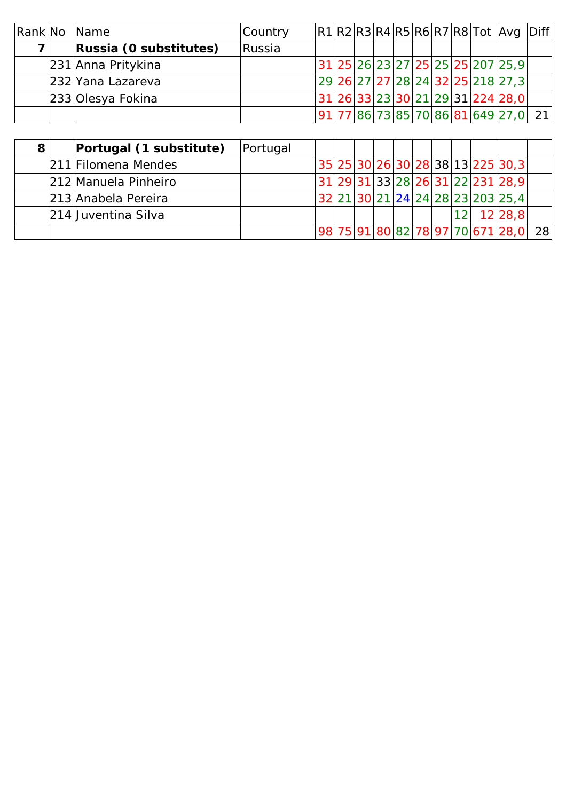|  | Rank No Name           | Country |  |  |  |  | $ R1 R2 R3 R4 R5 R6 R7 R8 $ Tot $ Avq $ Diff       |  |
|--|------------------------|---------|--|--|--|--|----------------------------------------------------|--|
|  | Russia (0 substitutes) | Russia  |  |  |  |  |                                                    |  |
|  | 231 Anna Pritykina     |         |  |  |  |  | 31   25   26   23   27   25   25   25   207   25,9 |  |
|  | 232 Yana Lazareva      |         |  |  |  |  | 29 26 27 27 28 24 32 25 218 27, 3                  |  |
|  | 233 Olesya Fokina      |         |  |  |  |  | 31 26 33 23 30 21 29 31 224 28,0                   |  |
|  |                        |         |  |  |  |  | 91 77 86 73 85 70 86 81 649 27,0 21                |  |

| 81 | Portugal (1 substitute) | Portugal |  |  |  |    |                                                                  |  |
|----|-------------------------|----------|--|--|--|----|------------------------------------------------------------------|--|
|    | 211 Filomena Mendes     |          |  |  |  |    | <sup>'</sup> 35   25   30   26   30   28   38   13   225   30, 3 |  |
|    | 212 Manuela Pinheiro    |          |  |  |  |    | 31 29 31 33 28 26 31 22 231 28,9                                 |  |
|    | 213 Anabela Pereira     |          |  |  |  |    | 32 21 30 21 24 24 28 23 203 25,4                                 |  |
|    | 214 Juventina Silva     |          |  |  |  | 12 | 12 28,8                                                          |  |
|    |                         |          |  |  |  |    | 98 75 91 80 82 78 97 70 671 28,0 28                              |  |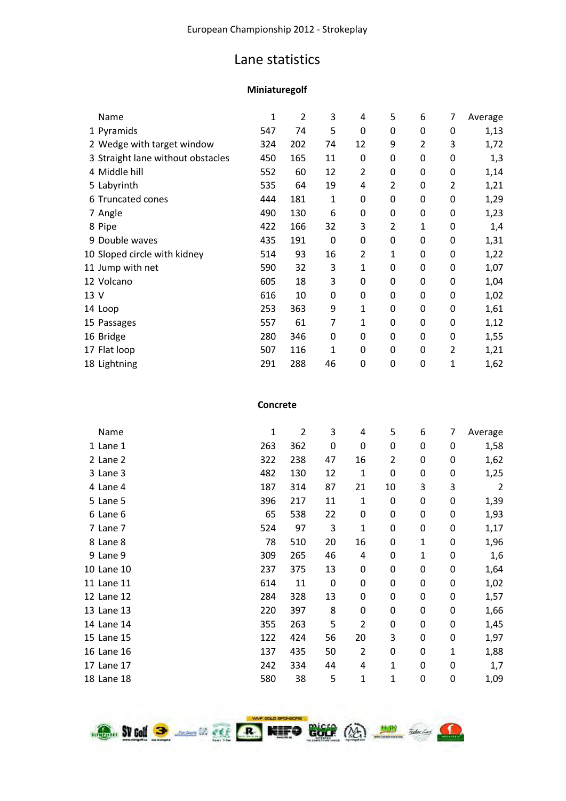#### Lane statistics

#### **Miniaturegolf**

|      | Name                              | 1   | $\overline{2}$ | 3           | 4              | 5                | 6                | 7              | Average |
|------|-----------------------------------|-----|----------------|-------------|----------------|------------------|------------------|----------------|---------|
|      | 1 Pyramids                        | 547 | 74             | 5           | 0              | 0                | $\mathbf 0$      | 0              | 1,13    |
|      | 2 Wedge with target window        | 324 | 202            | 74          | 12             | 9                | 2                | 3              | 1,72    |
|      | 3 Straight lane without obstacles | 450 | 165            | 11          | 0              | 0                | $\mathbf 0$      | 0              | 1,3     |
|      | 4 Middle hill                     | 552 | 60             | 12          | $\overline{2}$ | $\boldsymbol{0}$ | $\mathbf 0$      | 0              | 1,14    |
|      | 5 Labyrinth                       | 535 | 64             | 19          | 4              | 2                | 0                | 2              | 1,21    |
|      | 6 Truncated cones                 | 444 | 181            | 1           | 0              | $\boldsymbol{0}$ | $\mathbf 0$      | 0              | 1,29    |
|      | 7 Angle                           | 490 | 130            | 6           | 0              | $\boldsymbol{0}$ | $\boldsymbol{0}$ | 0              | 1,23    |
|      | 8 Pipe                            | 422 | 166            | 32          | 3              | 2                | 1                | 0              | 1,4     |
|      | 9 Double waves                    | 435 | 191            | $\mathbf 0$ | 0              | 0                | $\boldsymbol{0}$ | 0              | 1,31    |
|      | 10 Sloped circle with kidney      | 514 | 93             | 16          | 2              | 1                | 0                | 0              | 1,22    |
|      | 11 Jump with net                  | 590 | 32             | 3           | 1              | 0                | 0                | 0              | 1,07    |
|      | 12 Volcano                        | 605 | 18             | 3           | 0              | $\boldsymbol{0}$ | $\boldsymbol{0}$ | 0              | 1,04    |
| 13 V |                                   | 616 | 10             | 0           | 0              | 0                | $\boldsymbol{0}$ | 0              | 1,02    |
|      | 14 Loop                           | 253 | 363            | 9           | 1              | $\boldsymbol{0}$ | $\mathbf 0$      | 0              | 1,61    |
|      | 15 Passages                       | 557 | 61             | 7           | 1              | 0                | 0                | 0              | 1,12    |
|      | 16 Bridge                         | 280 | 346            | 0           | $\mathbf{0}$   | 0                | $\mathbf 0$      | 0              | 1,55    |
|      | 17 Flat loop                      | 507 | 116            | 1           | 0              | $\boldsymbol{0}$ | $\mathbf 0$      | $\overline{2}$ | 1,21    |
|      | 18 Lightning                      | 291 | 288            | 46          | 0              | 0                | $\mathbf 0$      | 1              | 1,62    |

#### **Concrete**

| Name       | 1   | $\overline{2}$ | 3  | 4              | 5                | 6 | 7           | Average        |
|------------|-----|----------------|----|----------------|------------------|---|-------------|----------------|
| 1 Lane 1   | 263 | 362            | 0  | 0              | 0                | 0 | 0           | 1,58           |
| 2 Lane 2   | 322 | 238            | 47 | 16             | 2                | 0 | 0           | 1,62           |
| 3 Lane 3   | 482 | 130            | 12 | 1              | 0                | 0 | 0           | 1,25           |
| 4 Lane 4   | 187 | 314            | 87 | 21             | 10               | 3 | 3           | $\overline{2}$ |
| 5 Lane 5   | 396 | 217            | 11 | $\mathbf 1$    | 0                | 0 | 0           | 1,39           |
| 6 Lane 6   | 65  | 538            | 22 | $\mathbf 0$    | 0                | 0 | 0           | 1,93           |
| 7 Lane 7   | 524 | 97             | 3  | $\mathbf 1$    | $\boldsymbol{0}$ | 0 | 0           | 1,17           |
| 8 Lane 8   | 78  | 510            | 20 | 16             | $\boldsymbol{0}$ | 1 | 0           | 1,96           |
| 9 Lane 9   | 309 | 265            | 46 | 4              | 0                | 1 | 0           | 1,6            |
| 10 Lane 10 | 237 | 375            | 13 | $\mathbf 0$    | 0                | 0 | 0           | 1,64           |
| 11 Lane 11 | 614 | 11             | 0  | $\mathbf 0$    | 0                | 0 | 0           | 1,02           |
| 12 Lane 12 | 284 | 328            | 13 | 0              | 0                | 0 | 0           | 1,57           |
| 13 Lane 13 | 220 | 397            | 8  | $\mathbf 0$    | 0                | 0 | 0           | 1,66           |
| 14 Lane 14 | 355 | 263            | 5  | $\overline{2}$ | 0                | 0 | 0           | 1,45           |
| 15 Lane 15 | 122 | 424            | 56 | 20             | 3                | 0 | 0           | 1,97           |
| 16 Lane 16 | 137 | 435            | 50 | $\overline{2}$ | 0                | 0 | 1           | 1,88           |
| 17 Lane 17 | 242 | 334            | 44 | 4              | 1                | 0 | $\mathbf 0$ | 1,7            |
| 18 Lane 18 | 580 | 38             | 5  | $\mathbf 1$    | 1                | 0 | 0           | 1,09           |

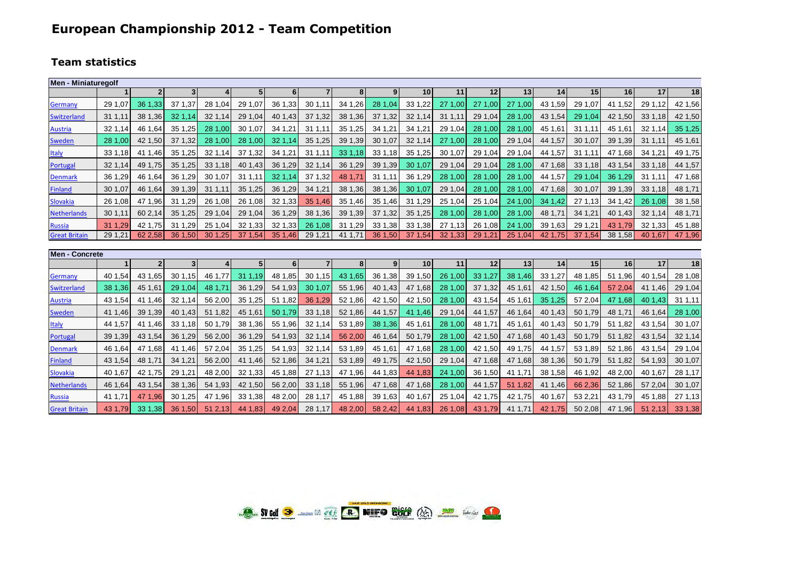### **European Championship 2012 - Team Competition**

#### **Team statistics**

| Men - Miniaturegolf   |                |                |                |                  |                |                |                |                |                |         |         |         |         |         |         |         |         |         |
|-----------------------|----------------|----------------|----------------|------------------|----------------|----------------|----------------|----------------|----------------|---------|---------|---------|---------|---------|---------|---------|---------|---------|
|                       |                | 2 <sup>1</sup> | 3 <sup>1</sup> | $\boldsymbol{4}$ | 5 <sub>1</sub> | 6 <sup>1</sup> | $\overline{7}$ | 8 <sup>1</sup> | 9 <sub>l</sub> | 10      | 11      | 12      | 13      | 14      | 15      | 16      | 17      | 18      |
| Germany               | 29 1,07        | 36 1,33        | 37 1,37        | 28 1,04          | 29 1.07        | 36 1,33        | 30 1,11        | 34 1,26        | 28 1,04        | 33 1,22 | 27 1,00 | 27 1,00 | 27 1,00 | 43 1,59 | 29 1,07 | 41 1.52 | 29 1.12 | 42 1,56 |
| <b>Switzerland</b>    | 31 1.11        | 38 1,36        | 32 1.14        | 32 1,14          | 29 1,04        | 40 1.43        | 37 1,32        | 38 1,36        | 37 1,32        | 32 1,14 | 31 1,11 | 29 1,04 | 28 1,00 | 43 1,54 | 29 1,04 | 42 1,50 | 33 1,18 | 42 1,50 |
| <b>Austria</b>        | 32 1,14        | 46 1.64        | 35 1,25        | 28 1,00          | 30 1.07        | 34 1,21        | 31 1.11        | 35 1,25        | 34 1,21        | 34 1,21 | 29 1,04 | 28 1.00 | 28 1,00 | 45 1,61 | 31 1,11 | 45 1.61 | 32 1,14 | 35 1,25 |
| <b>Sweden</b>         | 28 1,00        | 42 1,50        | 37 1,32        | 28 1,00          | 28 1,00        | 32 1.14        | 35 1,25        | 39 1,39        | 30 1,07        | 32 1,14 | 27 1.00 | 28 1,00 | 29 1,04 | 44 1,57 | 30 1,07 | 39 1,39 | 31 1,11 | 45 1,61 |
| <b>Italy</b>          | 33 1,18        | 41 1,46        | 35 1,25        | 32 1,14          | 37 1,32        | 34 1,21        | 31 1,11        | 33 1,18        | 33 1,18        | 35 1,25 | 30 1,07 | 29 1,04 | 29 1,04 | 44 1,57 | 31 1,11 | 47 1.68 | 34 1,21 | 49 1,75 |
| Portugal              | 32 1,14        | 49 1,75        | 35 1.25        | 33 1,18          | 40 1,43        | 36 1,29        | 32 1,14        | 36 1,29        | 39 1,39        | 30 1.07 | 29 1,04 | 29 1,04 | 28 1,00 | 47 1,68 | 33 1,18 | 43 1,54 | 33 1.18 | 44 1,57 |
| <b>Denmark</b>        | 36 1,29        | 46 1.64        | 36 1,29        | 30 1,07          | 31 1,11        | 32 1,14        | 37 1,32        | 48 1,71        | 31 1,11        | 36 1.29 | 28 1,00 | 28 1,00 | 28 1,00 | 44 1,57 | 29 1,04 | 36 1.29 | 31 1,11 | 47 1,68 |
| <b>Finland</b>        | 30 1,07        | 46 1,64        | 39 1,39        | 31 1,11          | 35 1,25        | 36 1.29        | 34 1,21        | 38 1,36        | 38 1,36        | 30 1.07 | 29 1.04 | 28 1,00 | 28 1,00 | 47 1,68 | 30 1,07 | 39 1.39 | 33 1,18 | 48 1,71 |
| <b>Slovakia</b>       | 26 1.08        | 47 1.96        | 31 1,29        | 26 1.08          | 26 1.08        | 32 1,33        | 35 1,46        | 35 1,46        | 35 1,46        | 31 1,29 | 25 1,04 | 25 1,04 | 24 1,00 | 34 1.42 | 27 1,13 | 34 1,42 | 26 1.08 | 38 1,58 |
| <b>Netherlands</b>    | 30 1.11        | 60 2.14        | 35 1.25        | 29 1.04          | 29 1.04        | 36 1,29        | 38 1,36        | 39 1,39        | 37 1,32        | 35 1.25 | 28 1,00 | 28 1,00 | 28 1.00 | 48 1.71 | 34 1.21 | 40 1.43 | 32 1.14 | 48 1,71 |
| <b>Russia</b>         | 31 1.29        | 42 1.75        | 31 1.29        | 25 1.04          | 32 1.33        | 32 1.33        | 26 1.08        | 31 1,29        | 33 1.38        | 33 1,38 | 27 1.13 | 26 1.08 | 24 1.00 | 39 1.63 | 29 1.21 | 43 1.79 | 32 1.33 | 45 1,88 |
| <b>Great Britain</b>  | 29 1,21        | 62 2.58        | 36 1.50        | 30 1.25          | 37 1.54        | 35 1,46        | 29 1,21        | 41 1.71        | 36 1,50        | 37 1.54 | 32 1,33 | 29 1,21 | 25 1,04 | 42 1.75 | 37 1,54 | 38 1,58 | 40 1.67 | 47 1,96 |
| <b>Men - Concrete</b> |                |                |                |                  |                |                |                |                |                |         |         |         |         |         |         |         |         |         |
|                       | 1 <sup>1</sup> | 2 <sup>1</sup> | 3 <sup>1</sup> | $\overline{4}$   | 5              | 6 <sup>1</sup> | $\overline{7}$ | 8              | 9 <sub>l</sub> | 10      | 11      | 12      | 13      | 14      | 15      | 16      | 17      | 18      |
| Germany               | 40 1,54        | 43 1.65        | 30 1.15        | 46 1,77          | 31 1,19        | 48 1,85        | 30 1.15        | 43 1.65        | 36 1,38        | 39 1,50 | 26 1,00 | 33 1,27 | 38 1,46 | 33 1,27 | 48 1,85 | 51 1,96 | 40 1,54 | 28 1,08 |
| <b>Switzerland</b>    | 38 1,36        | 45 1,61        | 29 1.04        | 48 1,71          | 36 1,29        | 54 1,93        | 30 1,07        | 55 1,96        | 40 1,43        | 47 1,68 | 28 1,00 | 37 1,32 | 45 1,61 | 42 1,50 | 46 1.64 | 57 2,04 | 41 1,46 | 29 1,04 |
| <b>Austria</b>        | 43 1,54        | 41 1,46        | 32 1,14        | 56 2,00          | 35 1,25        | 51 1,82        | 36 1.29        | 52 1,86        | 42 1,50        | 42 1,50 | 28 1,00 | 43 1,54 | 45 1,61 | 35 1,25 | 57 2,04 | 47 1.68 | 40 1.43 | 31 1,11 |
| <b>Sweden</b>         | 41 1,46        | 39 1,39        | 40 1.43        | 51 1,82          | 45 1,61        | 50 1,79        | 33 1,18        | 52 1,86        | 44 1,57        | 41 1.46 | 29 1,04 | 44 1,57 | 46 1,64 | 40 1.43 | 50 1.79 | 48 1.71 | 46 1.64 | 28 1,00 |
| <b>Italy</b>          | 44 1,57        | 41 1,46        | 33 1.18        | 50 1,79          | 38 1,36        | 55 1,96        | 32 1,14        | 53 1,89        | 38 1,36        | 45 1,61 | 28 1,00 | 48 1,71 | 45 1,61 | 40 1,43 | 50 1,79 | 51 1,82 | 43 1,54 | 30 1,07 |
| Portugal              | 39 1,39        | 43 1.54        | 36 1.29        | 56 2,00          | 36 1,29        | 54 1,93        | 32 1,14        | 56 2,00        | 46 1,64        | 50 1,79 | 28 1,00 | 42 1,50 | 47 1,68 | 40 1,43 | 50 1,79 | 51 1,82 | 43 1.54 | 32 1,14 |
| <b>Denmark</b>        | 46 1,64        | 47 1.68        | 41 1,46        | 57 2,04          | 35 1,25        | 54 1,93        | 32 1,14        | 53 1,89        | 45 1,61        | 47 1.68 | 28 1.00 | 42 1,50 | 49 1,75 | 44 1,57 | 53 1,89 | 52 1,86 | 43 1,54 | 29 1,04 |
| <b>Finland</b>        | 43 1,54        | 48 1.71        | 34 1.21        | 56 2,00          | 41 1,46        | 52 1,86        | 34 1,21        | 53 1,89        | 49 1,75        | 42 1,50 | 29 1,04 | 47 1.68 | 47 1.68 | 38 1,36 | 50 1,79 | 51 1,82 | 54 1,93 | 30 1,07 |
| <b>Slovakia</b>       | 40 1,67        | 42 1,75        | 29 1,21        | 48 2,00          | 32 1,33        | 45 1,88        | 27 1.13        | 47 1,96        | 44 1,83        | 44 1,83 | 24 1,00 | 36 1,50 | 41 1,71 | 38 1,58 | 46 1,92 | 48 2,00 | 40 1,67 | 28 1,17 |
| <b>Netherlands</b>    | 46 1.64        | 43 1.54        | 38 1,36        | 54 1,93          | 42 1,50        | 56 2,00        | 33 1,18        | 55 1,96        | 47 1.68        | 47 1,68 | 28 1.00 | 44 1,57 | 51 1,82 | 41 1.46 | 66 2,36 | 52 1,86 | 57 2,04 | 30 1,07 |
| <b>Russia</b>         | 41 1,71        | 47 1,96        | 30 1,25        | 47 1,96          | 33 1,38        | 48 2,00        | 28 1,17        | 45 1,88        | 39 1,63        | 40 1,67 | 25 1,04 | 42 1,75 | 42 1,75 | 40 1,67 | 53 2,21 | 43 1,79 | 45 1,88 | 27 1,13 |
| <b>Great Britain</b>  | 43 1.79        | 33 1,38        | 36 1.50        | 51 2.13          | 44 1.83        | 49 2.04        | 28 1.17        | 48 2.00        | 58 2.42        | 44 1.83 | 26 1.08 | 43 1.79 | 41 1.71 | 42 1.75 | 50 2,08 | 47 1.96 | 51 2.13 | 33 1,38 |